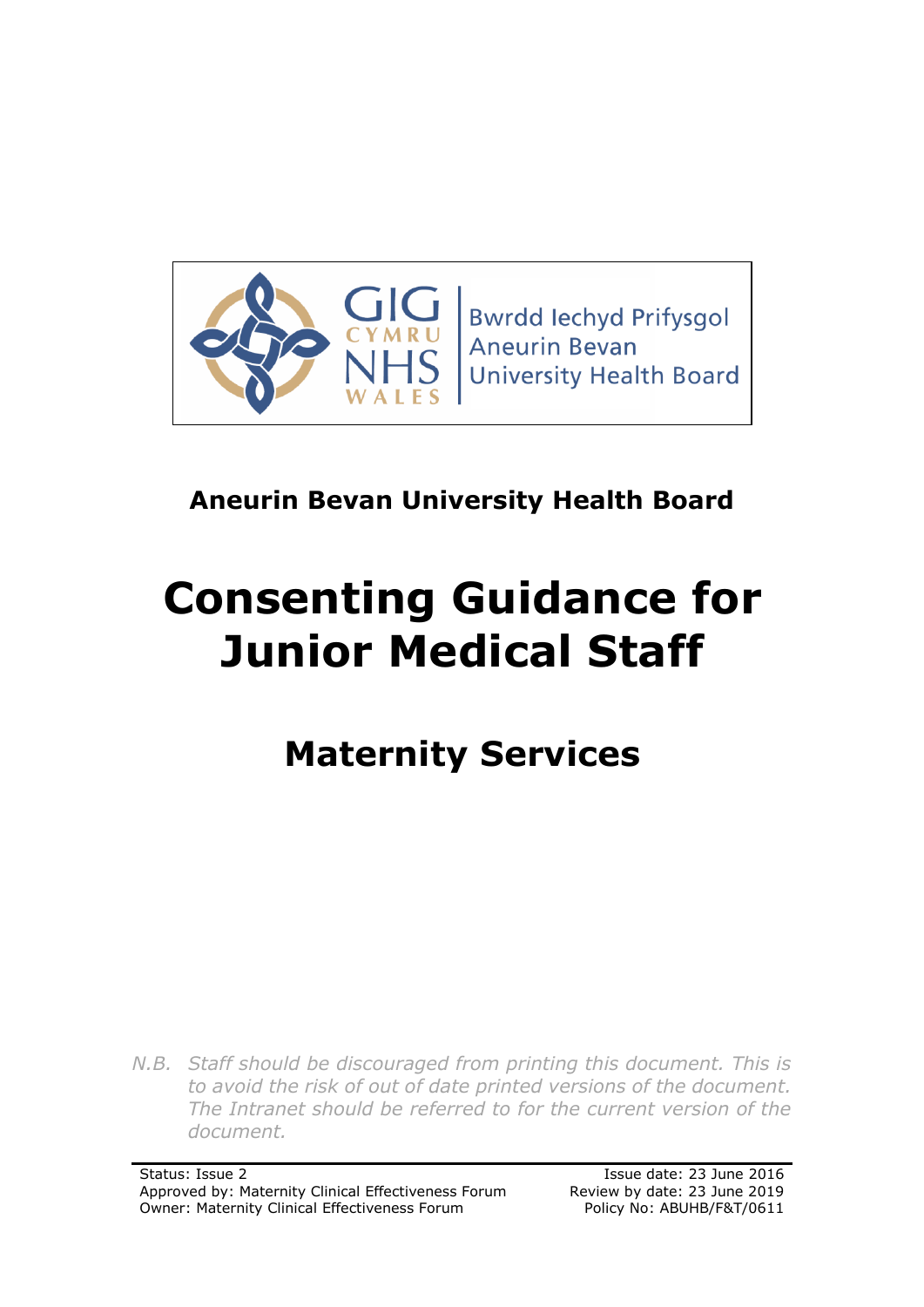

**Bwrdd lechyd Prifysgol Aneurin Bevan University Health Board** 

## **Aneurin Bevan University Health Board**

# **Consenting Guidance for Junior Medical Staff**

## **Maternity Services**

*N.B. Staff should be discouraged from printing this document. This is to avoid the risk of out of date printed versions of the document. The Intranet should be referred to for the current version of the document.*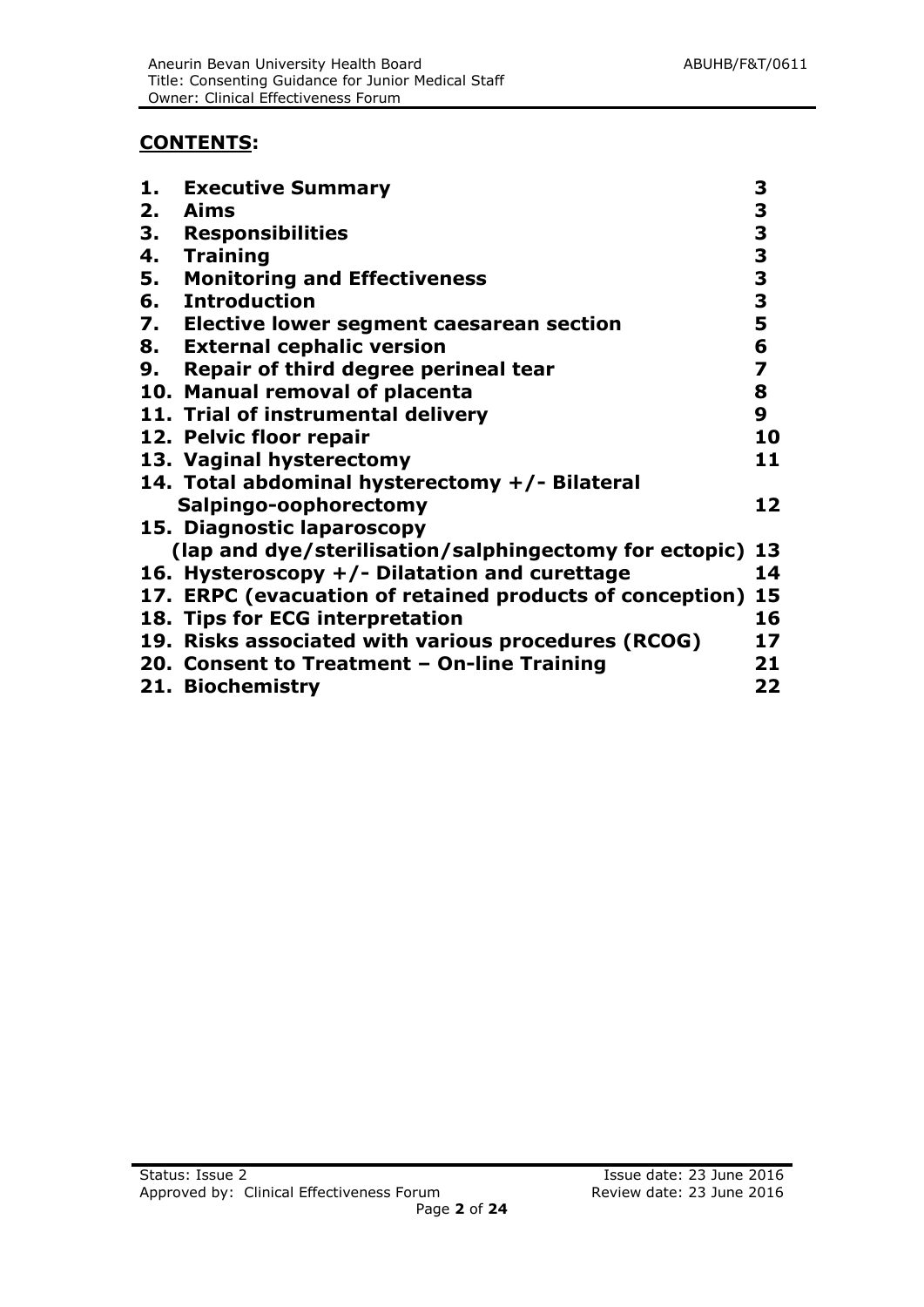#### **CONTENTS:**

| <b>Executive Summary</b>                                    | 3                                                                                                        |
|-------------------------------------------------------------|----------------------------------------------------------------------------------------------------------|
| Aims                                                        |                                                                                                          |
| <b>Responsibilities</b>                                     | $\frac{3}{3}$                                                                                            |
| <b>Training</b>                                             |                                                                                                          |
| <b>Monitoring and Effectiveness</b>                         | $\frac{3}{3}$                                                                                            |
| 6. Introduction                                             | $\frac{3}{5}$                                                                                            |
|                                                             |                                                                                                          |
| <b>External cephalic version</b>                            | 6                                                                                                        |
| Repair of third degree perineal tear                        | $\overline{\mathbf{z}}$                                                                                  |
| 10. Manual removal of placenta                              | 8                                                                                                        |
| 11. Trial of instrumental delivery                          | $\boldsymbol{9}$                                                                                         |
| 12. Pelvic floor repair                                     | 10                                                                                                       |
| 13. Vaginal hysterectomy                                    | 11                                                                                                       |
| 14. Total abdominal hysterectomy +/- Bilateral              |                                                                                                          |
| Salpingo-oophorectomy                                       | 12                                                                                                       |
| 15. Diagnostic laparoscopy                                  |                                                                                                          |
|                                                             |                                                                                                          |
| 16. Hysteroscopy +/- Dilatation and curettage               | 14                                                                                                       |
| 17. ERPC (evacuation of retained products of conception) 15 |                                                                                                          |
| 18. Tips for ECG interpretation                             | 16                                                                                                       |
| 19. Risks associated with various procedures (RCOG)         | 17                                                                                                       |
| 20. Consent to Treatment - On-line Training                 | 21                                                                                                       |
| 21. Biochemistry                                            | 22                                                                                                       |
|                                                             | 7. Elective lower segment caesarean section<br>(lap and dye/sterilisation/salphingectomy for ectopic) 13 |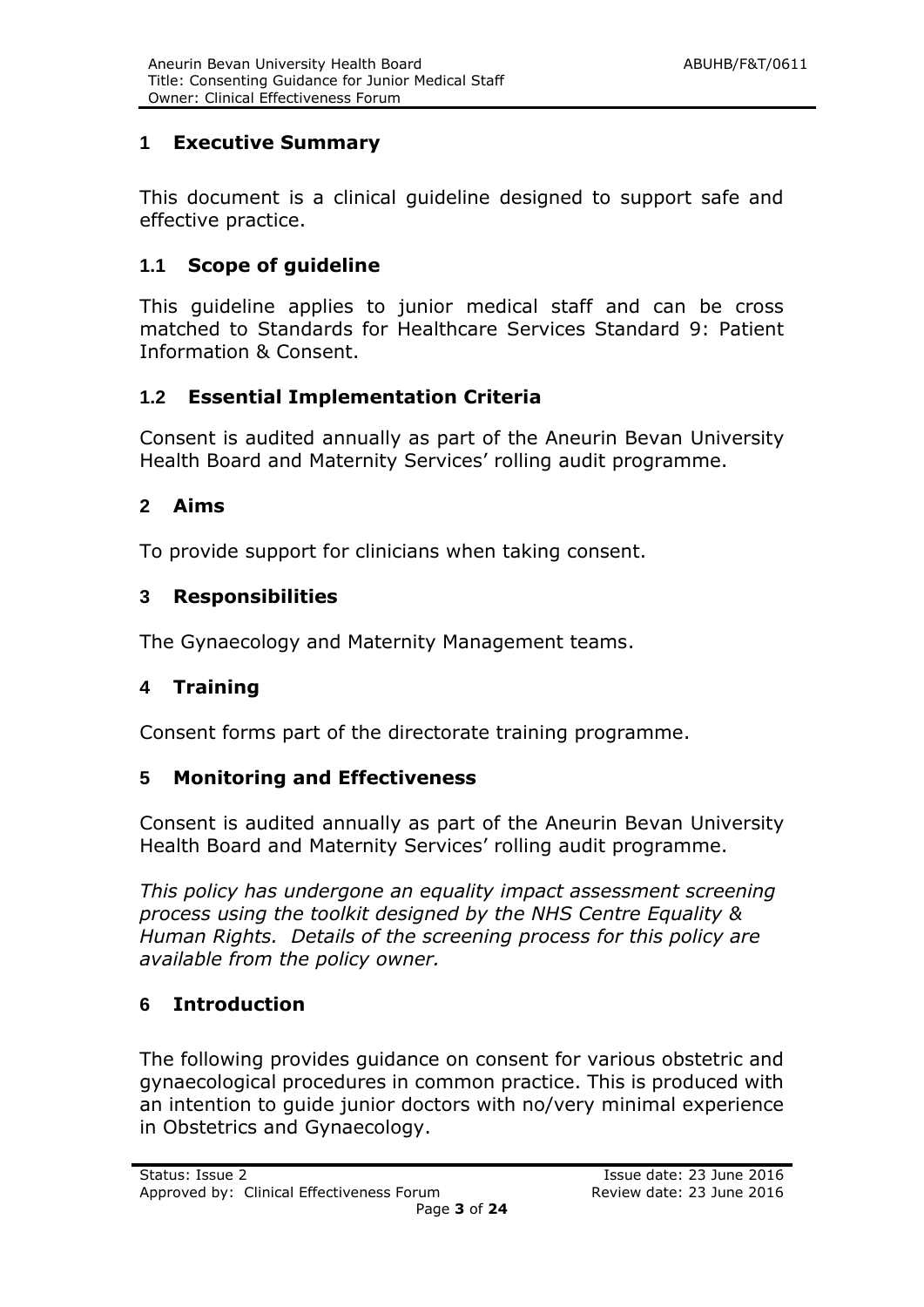## **1 Executive Summary**

This document is a clinical guideline designed to support safe and effective practice.

## **1.1 Scope of guideline**

This guideline applies to junior medical staff and can be cross matched to Standards for Healthcare Services Standard 9: Patient Information & Consent.

## **1.2 Essential Implementation Criteria**

Consent is audited annually as part of the Aneurin Bevan University Health Board and Maternity Services' rolling audit programme.

## **2 Aims**

To provide support for clinicians when taking consent.

## **3 Responsibilities**

The Gynaecology and Maternity Management teams.

## **4 Training**

Consent forms part of the directorate training programme.

## **5 Monitoring and Effectiveness**

Consent is audited annually as part of the Aneurin Bevan University Health Board and Maternity Services' rolling audit programme.

*This policy has undergone an equality impact assessment screening process using the toolkit designed by the NHS Centre Equality & Human Rights. Details of the screening process for this policy are available from the policy owner.*

## **6 Introduction**

The following provides guidance on consent for various obstetric and gynaecological procedures in common practice. This is produced with an intention to guide junior doctors with no/very minimal experience in Obstetrics and Gynaecology.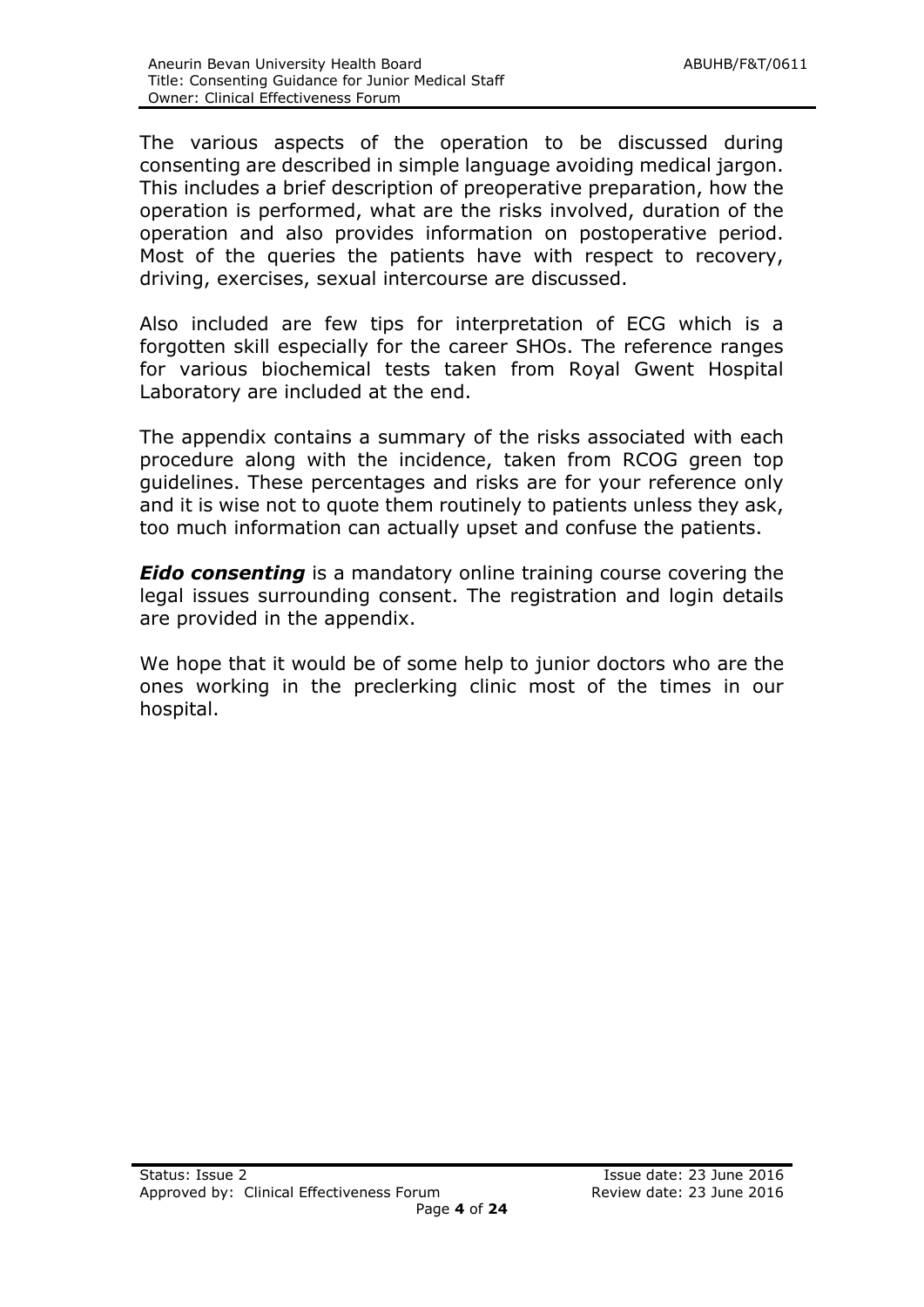The various aspects of the operation to be discussed during consenting are described in simple language avoiding medical jargon. This includes a brief description of preoperative preparation, how the operation is performed, what are the risks involved, duration of the operation and also provides information on postoperative period. Most of the queries the patients have with respect to recovery, driving, exercises, sexual intercourse are discussed.

Also included are few tips for interpretation of ECG which is a forgotten skill especially for the career SHOs. The reference ranges for various biochemical tests taken from Royal Gwent Hospital Laboratory are included at the end.

The appendix contains a summary of the risks associated with each procedure along with the incidence, taken from RCOG green top guidelines. These percentages and risks are for your reference only and it is wise not to quote them routinely to patients unless they ask, too much information can actually upset and confuse the patients.

*Eido consenting* is a mandatory online training course covering the legal issues surrounding consent. The registration and login details are provided in the appendix.

We hope that it would be of some help to junior doctors who are the ones working in the preclerking clinic most of the times in our hospital.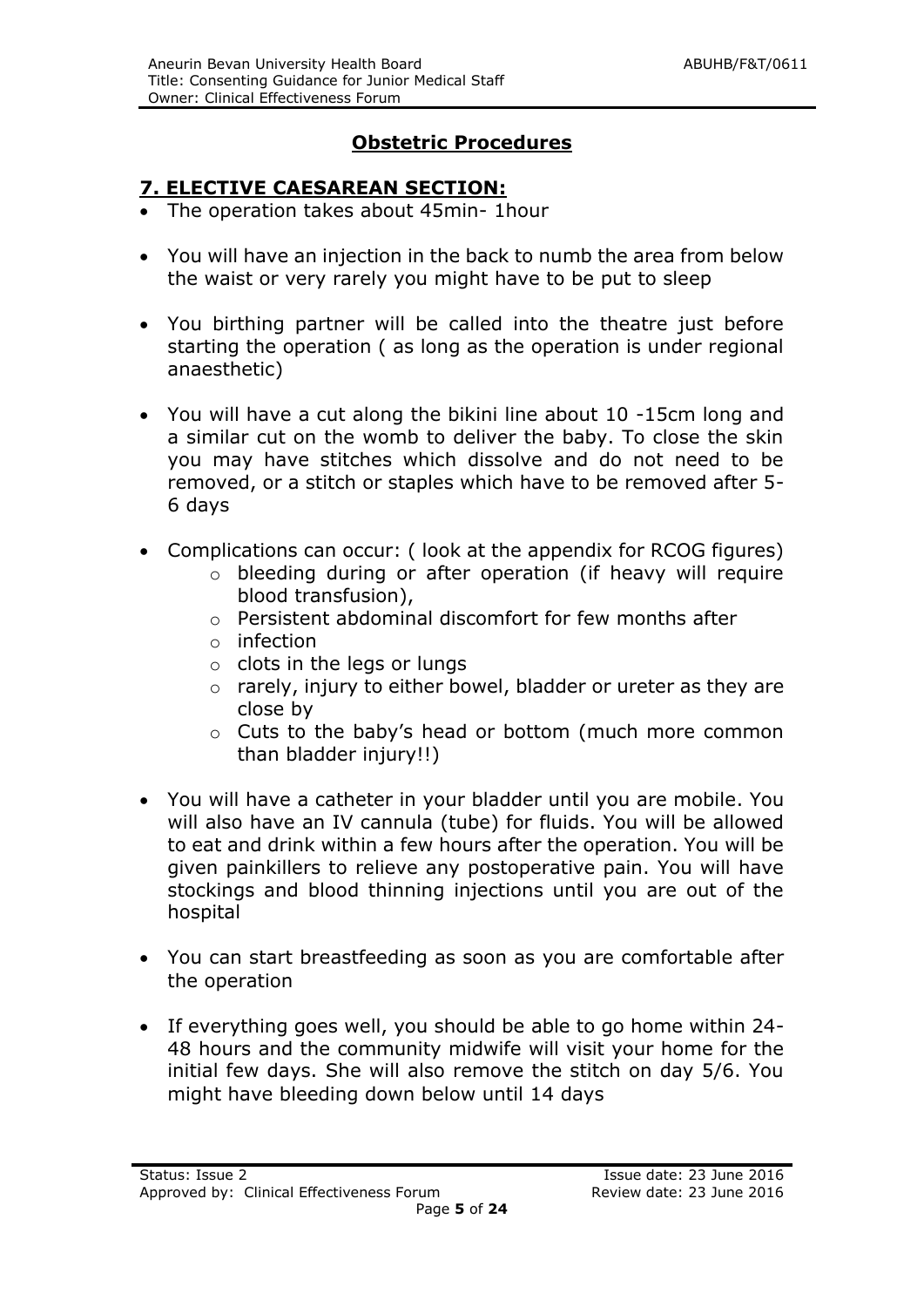## **Obstetric Procedures**

#### **7. ELECTIVE CAESAREAN SECTION:**

- The operation takes about 45min- 1hour
- You will have an injection in the back to numb the area from below the waist or very rarely you might have to be put to sleep
- You birthing partner will be called into the theatre just before starting the operation ( as long as the operation is under regional anaesthetic)
- You will have a cut along the bikini line about 10 -15cm long and a similar cut on the womb to deliver the baby. To close the skin you may have stitches which dissolve and do not need to be removed, or a stitch or staples which have to be removed after 5- 6 days
- Complications can occur: ( look at the appendix for RCOG figures)
	- o bleeding during or after operation (if heavy will require blood transfusion),
		- o Persistent abdominal discomfort for few months after
		- $\circ$  infection
		- $\circ$  clots in the legs or lungs
		- o rarely, injury to either bowel, bladder or ureter as they are close by
		- o Cuts to the baby's head or bottom (much more common than bladder injury!!)
- You will have a catheter in your bladder until you are mobile. You will also have an IV cannula (tube) for fluids. You will be allowed to eat and drink within a few hours after the operation. You will be given painkillers to relieve any postoperative pain. You will have stockings and blood thinning injections until you are out of the hospital
- You can start breastfeeding as soon as you are comfortable after the operation
- If everything goes well, you should be able to go home within 24- 48 hours and the community midwife will visit your home for the initial few days. She will also remove the stitch on day 5/6. You might have bleeding down below until 14 days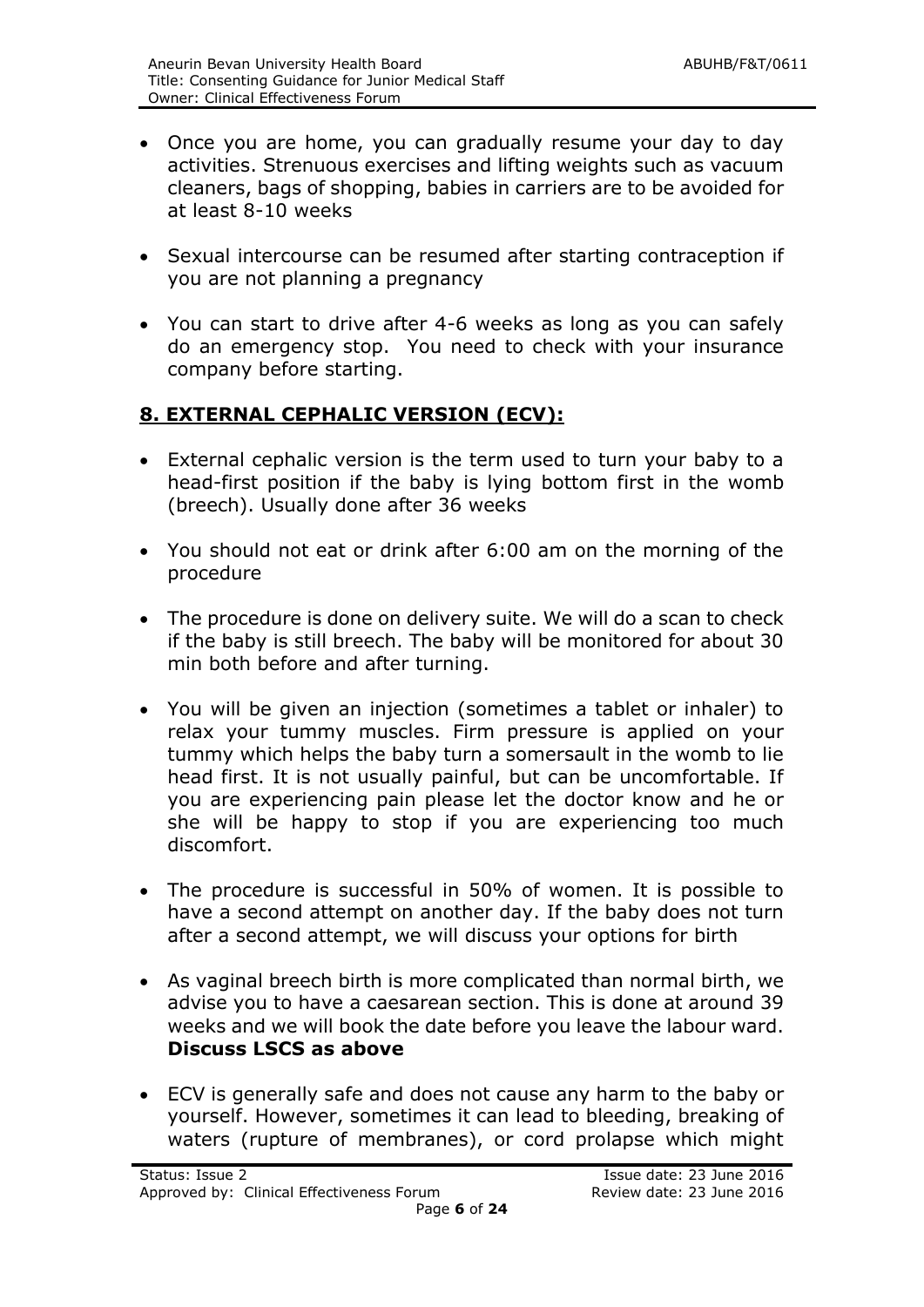- Once you are home, you can gradually resume your day to day activities. Strenuous exercises and lifting weights such as vacuum cleaners, bags of shopping, babies in carriers are to be avoided for at least 8-10 weeks
- Sexual intercourse can be resumed after starting contraception if you are not planning a pregnancy
- You can start to drive after 4-6 weeks as long as you can safely do an emergency stop. You need to check with your insurance company before starting.

## **8. EXTERNAL CEPHALIC VERSION (ECV):**

- External cephalic version is the term used to turn your baby to a head-first position if the baby is lying bottom first in the womb (breech). Usually done after 36 weeks
- You should not eat or drink after 6:00 am on the morning of the procedure
- The procedure is done on delivery suite. We will do a scan to check if the baby is still breech. The baby will be monitored for about 30 min both before and after turning.
- You will be given an injection (sometimes a tablet or inhaler) to relax your tummy muscles. Firm pressure is applied on your tummy which helps the baby turn a somersault in the womb to lie head first. It is not usually painful, but can be uncomfortable. If you are experiencing pain please let the doctor know and he or she will be happy to stop if you are experiencing too much discomfort.
- The procedure is successful in 50% of women. It is possible to have a second attempt on another day. If the baby does not turn after a second attempt, we will discuss your options for birth
- As vaginal breech birth is more complicated than normal birth, we advise you to have a caesarean section. This is done at around 39 weeks and we will book the date before you leave the labour ward. **Discuss LSCS as above**
- ECV is generally safe and does not cause any harm to the baby or yourself. However, sometimes it can lead to bleeding, breaking of waters (rupture of membranes), or cord prolapse which might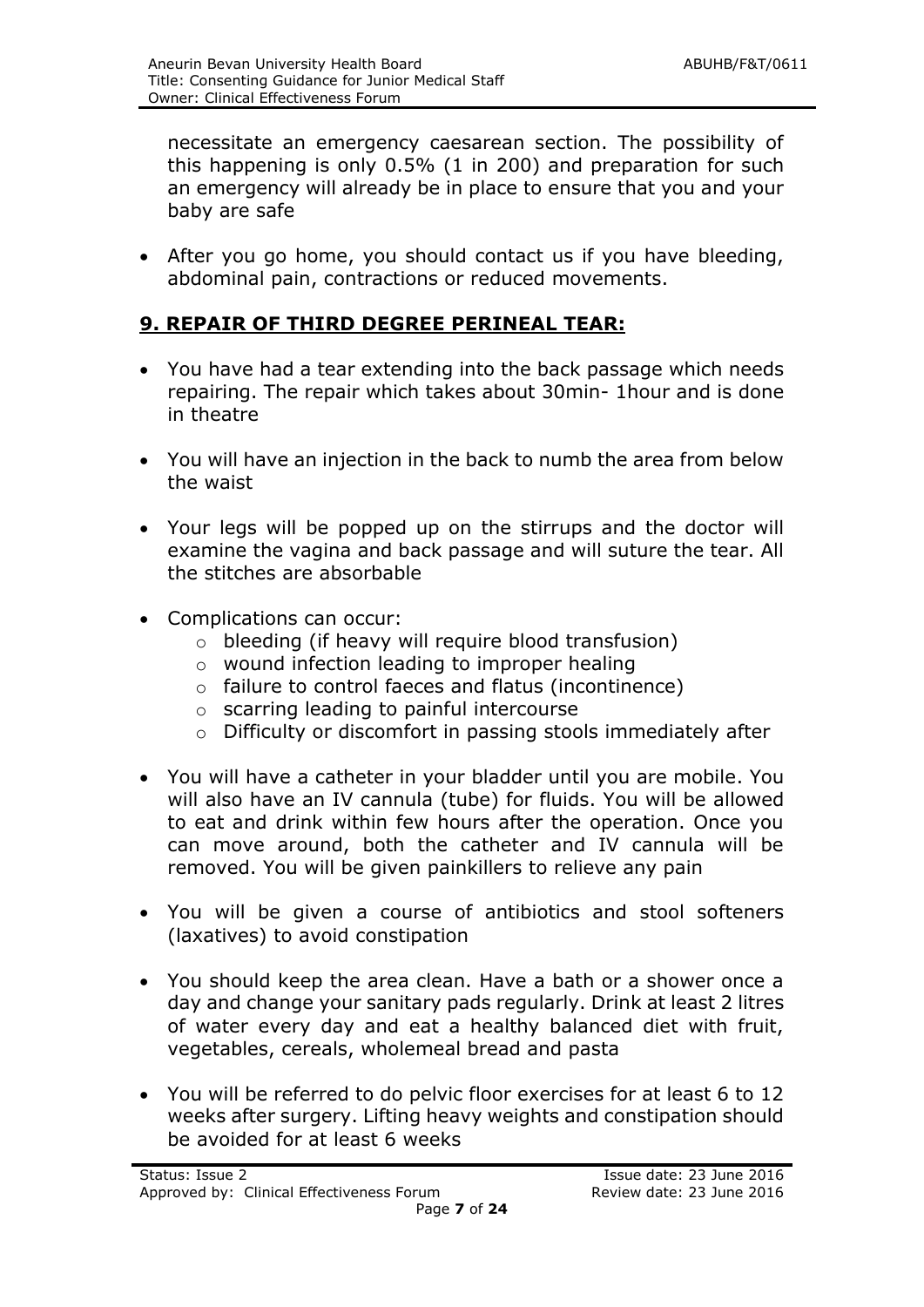necessitate an emergency caesarean section. The possibility of this happening is only 0.5% (1 in 200) and preparation for such an emergency will already be in place to ensure that you and your baby are safe

 After you go home, you should contact us if you have bleeding, abdominal pain, contractions or reduced movements.

#### **9. REPAIR OF THIRD DEGREE PERINEAL TEAR:**

- You have had a tear extending into the back passage which needs repairing. The repair which takes about 30min- 1hour and is done in theatre
- You will have an injection in the back to numb the area from below the waist
- Your legs will be popped up on the stirrups and the doctor will examine the vagina and back passage and will suture the tear. All the stitches are absorbable
- Complications can occur:
	- o bleeding (if heavy will require blood transfusion)
	- o wound infection leading to improper healing
	- o failure to control faeces and flatus (incontinence)
	- o scarring leading to painful intercourse
	- o Difficulty or discomfort in passing stools immediately after
- You will have a catheter in your bladder until you are mobile. You will also have an IV cannula (tube) for fluids. You will be allowed to eat and drink within few hours after the operation. Once you can move around, both the catheter and IV cannula will be removed. You will be given painkillers to relieve any pain
- You will be given a course of antibiotics and stool softeners (laxatives) to avoid constipation
- You should keep the area clean. Have a bath or a shower once a day and change your sanitary pads regularly. Drink at least 2 litres of water every day and eat a healthy balanced diet with fruit, vegetables, cereals, wholemeal bread and pasta
- You will be referred to do pelvic floor exercises for at least 6 to 12 weeks after surgery. Lifting heavy weights and constipation should be avoided for at least 6 weeks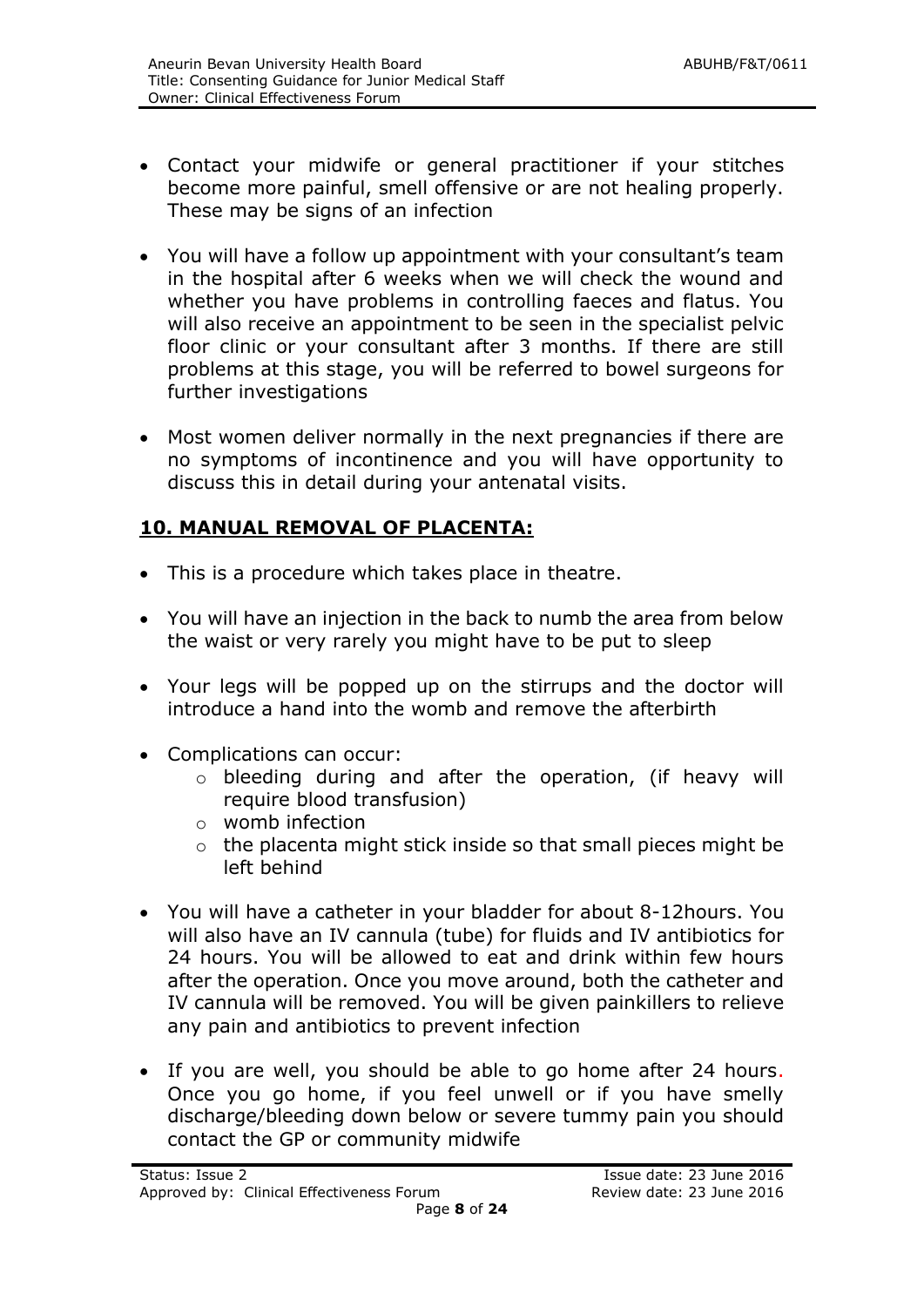- Contact your midwife or general practitioner if your stitches become more painful, smell offensive or are not healing properly. These may be signs of an infection
- You will have a follow up appointment with your consultant's team in the hospital after 6 weeks when we will check the wound and whether you have problems in controlling faeces and flatus. You will also receive an appointment to be seen in the specialist pelvic floor clinic or your consultant after 3 months. If there are still problems at this stage, you will be referred to bowel surgeons for further investigations
- Most women deliver normally in the next pregnancies if there are no symptoms of incontinence and you will have opportunity to discuss this in detail during your antenatal visits.

## **10. MANUAL REMOVAL OF PLACENTA:**

- This is a procedure which takes place in theatre.
- You will have an injection in the back to numb the area from below the waist or very rarely you might have to be put to sleep
- Your legs will be popped up on the stirrups and the doctor will introduce a hand into the womb and remove the afterbirth
- Complications can occur:
	- o bleeding during and after the operation, (if heavy will require blood transfusion)
	- o womb infection
	- o the placenta might stick inside so that small pieces might be left behind
- You will have a catheter in your bladder for about 8-12hours. You will also have an IV cannula (tube) for fluids and IV antibiotics for 24 hours. You will be allowed to eat and drink within few hours after the operation. Once you move around, both the catheter and IV cannula will be removed. You will be given painkillers to relieve any pain and antibiotics to prevent infection
- If you are well, you should be able to go home after 24 hours. Once you go home, if you feel unwell or if you have smelly discharge/bleeding down below or severe tummy pain you should contact the GP or community midwife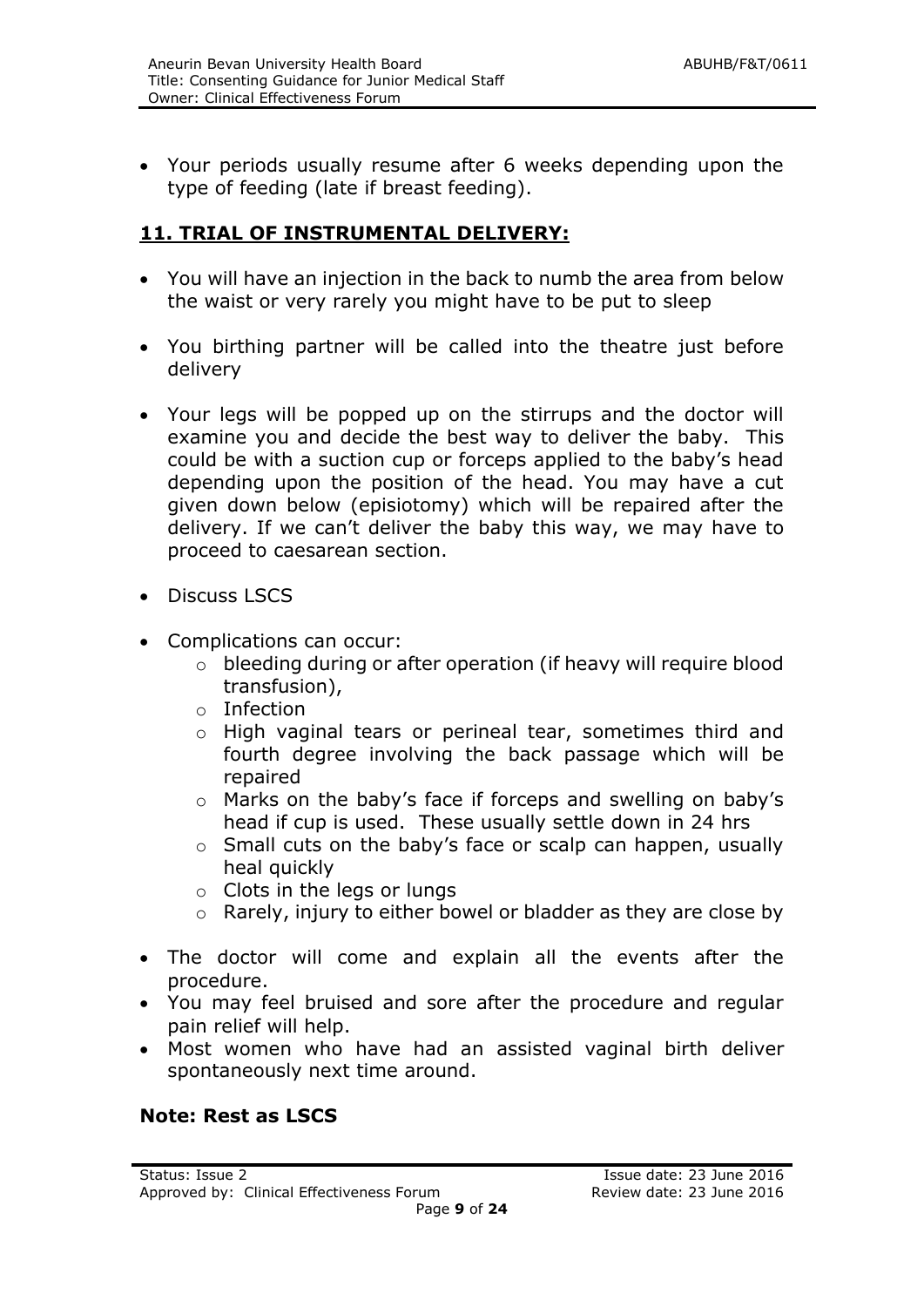Your periods usually resume after 6 weeks depending upon the type of feeding (late if breast feeding).

### **11. TRIAL OF INSTRUMENTAL DELIVERY:**

- You will have an injection in the back to numb the area from below the waist or very rarely you might have to be put to sleep
- You birthing partner will be called into the theatre just before delivery
- Your legs will be popped up on the stirrups and the doctor will examine you and decide the best way to deliver the baby. This could be with a suction cup or forceps applied to the baby's head depending upon the position of the head. You may have a cut given down below (episiotomy) which will be repaired after the delivery. If we can't deliver the baby this way, we may have to proceed to caesarean section.
- Discuss LSCS
- Complications can occur:
	- o bleeding during or after operation (if heavy will require blood transfusion),
	- o Infection
	- o High vaginal tears or perineal tear, sometimes third and fourth degree involving the back passage which will be repaired
	- o Marks on the baby's face if forceps and swelling on baby's head if cup is used. These usually settle down in 24 hrs
	- o Small cuts on the baby's face or scalp can happen, usually heal quickly
	- o Clots in the legs or lungs
	- o Rarely, injury to either bowel or bladder as they are close by
- The doctor will come and explain all the events after the procedure.
- You may feel bruised and sore after the procedure and regular pain relief will help.
- Most women who have had an assisted vaginal birth deliver spontaneously next time around.

#### **Note: Rest as LSCS**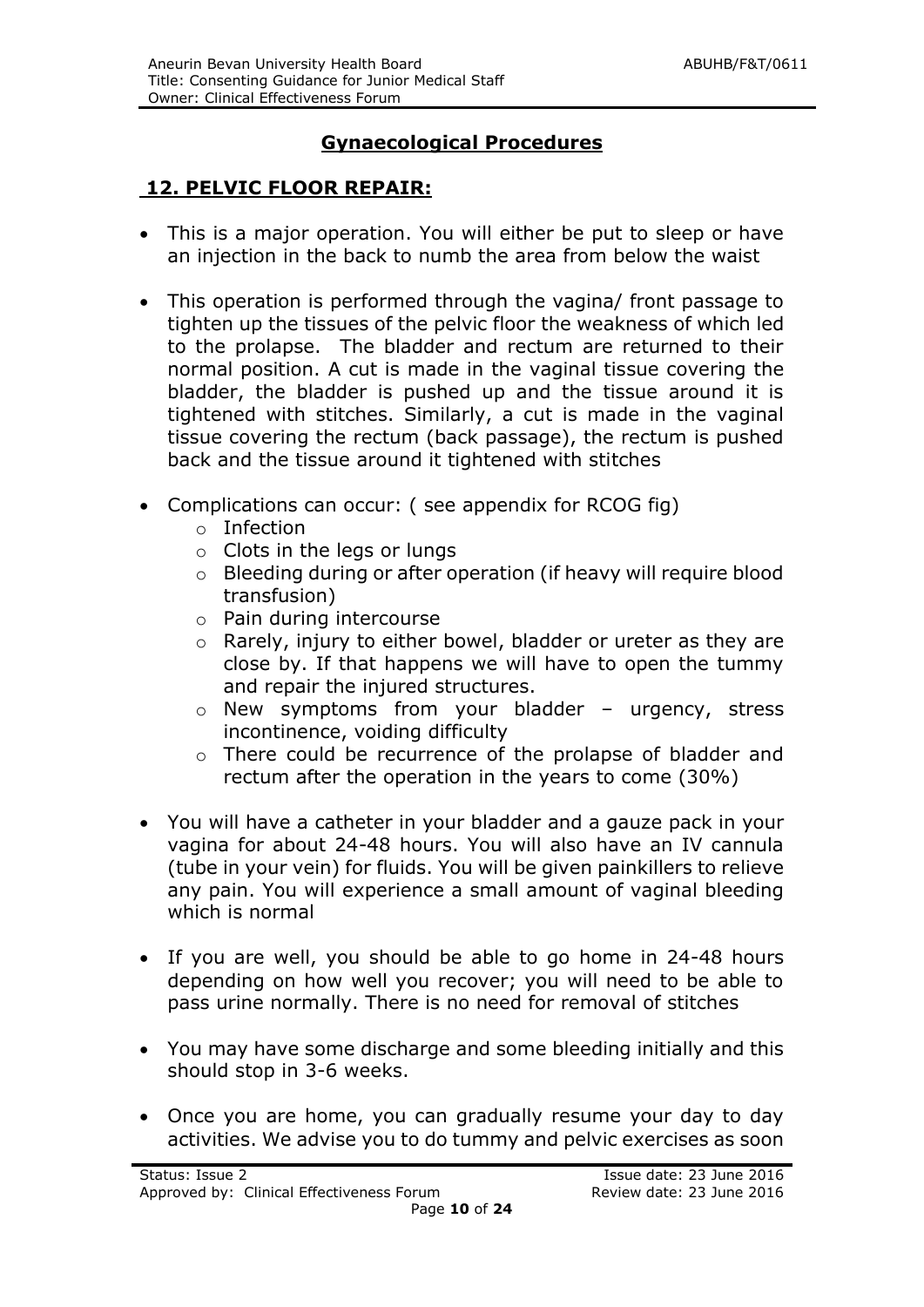## **Gynaecological Procedures**

#### **12. PELVIC FLOOR REPAIR:**

- This is a major operation. You will either be put to sleep or have an injection in the back to numb the area from below the waist
- This operation is performed through the vagina/ front passage to tighten up the tissues of the pelvic floor the weakness of which led to the prolapse. The bladder and rectum are returned to their normal position. A cut is made in the vaginal tissue covering the bladder, the bladder is pushed up and the tissue around it is tightened with stitches. Similarly, a cut is made in the vaginal tissue covering the rectum (back passage), the rectum is pushed back and the tissue around it tightened with stitches
- Complications can occur: ( see appendix for RCOG fig)
	- o Infection
	- o Clots in the legs or lungs
	- o Bleeding during or after operation (if heavy will require blood transfusion)
	- o Pain during intercourse
	- o Rarely, injury to either bowel, bladder or ureter as they are close by. If that happens we will have to open the tummy and repair the injured structures.
	- o New symptoms from your bladder urgency, stress incontinence, voiding difficulty
	- o There could be recurrence of the prolapse of bladder and rectum after the operation in the years to come (30%)
- You will have a catheter in your bladder and a gauze pack in your vagina for about 24-48 hours. You will also have an IV cannula (tube in your vein) for fluids. You will be given painkillers to relieve any pain. You will experience a small amount of vaginal bleeding which is normal
- If you are well, you should be able to go home in 24-48 hours depending on how well you recover; you will need to be able to pass urine normally. There is no need for removal of stitches
- You may have some discharge and some bleeding initially and this should stop in 3-6 weeks.
- Once you are home, you can gradually resume your day to day activities. We advise you to do tummy and pelvic exercises as soon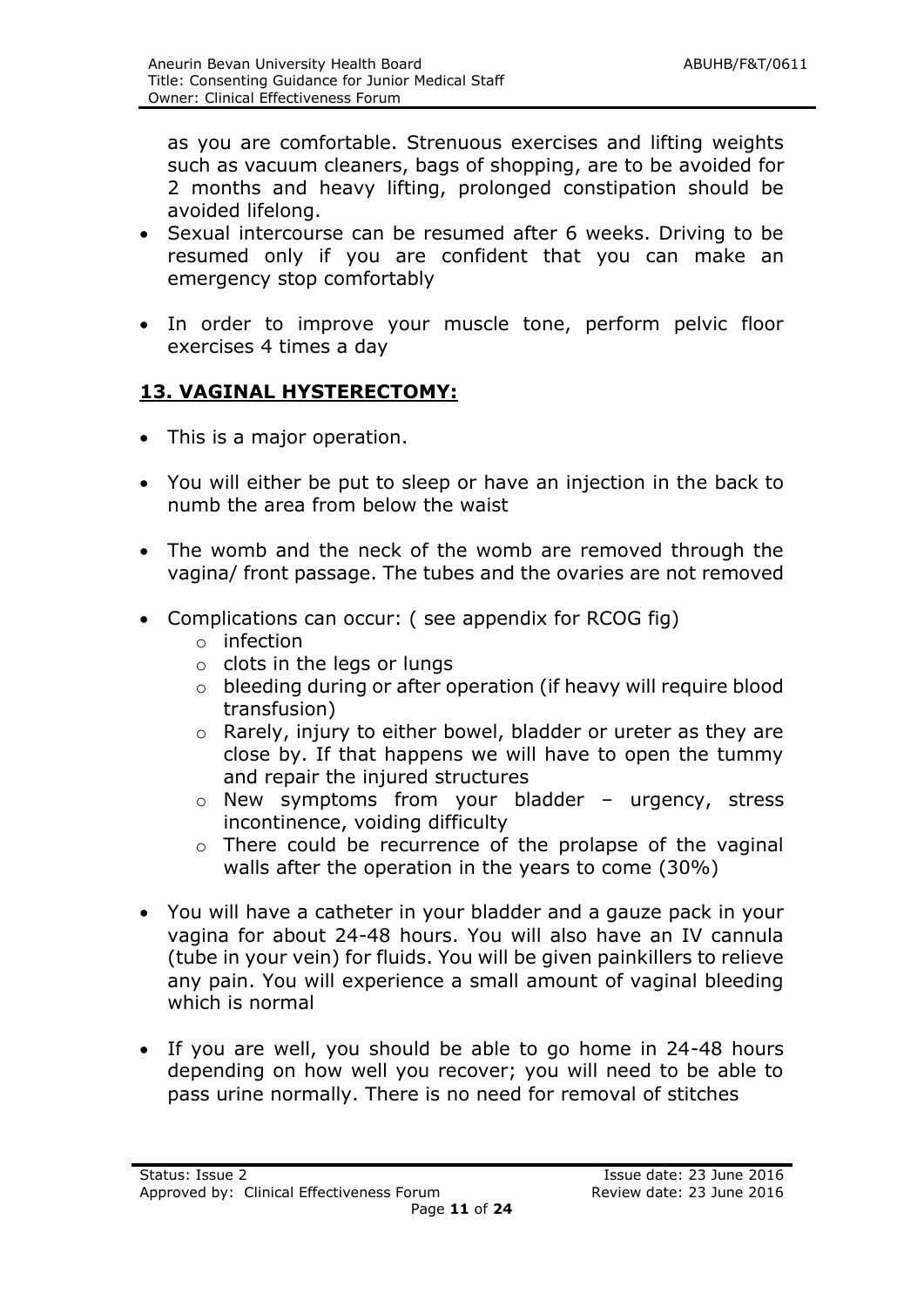as you are comfortable. Strenuous exercises and lifting weights such as vacuum cleaners, bags of shopping, are to be avoided for 2 months and heavy lifting, prolonged constipation should be avoided lifelong.

- Sexual intercourse can be resumed after 6 weeks. Driving to be resumed only if you are confident that you can make an emergency stop comfortably
- In order to improve your muscle tone, perform pelvic floor exercises 4 times a day

## **13. VAGINAL HYSTERECTOMY:**

- This is a major operation.
- You will either be put to sleep or have an injection in the back to numb the area from below the waist
- The womb and the neck of the womb are removed through the vagina/ front passage. The tubes and the ovaries are not removed
- Complications can occur: (see appendix for RCOG fig)
	- o infection
	- o clots in the legs or lungs
	- o bleeding during or after operation (if heavy will require blood transfusion)
	- o Rarely, injury to either bowel, bladder or ureter as they are close by. If that happens we will have to open the tummy and repair the injured structures
	- o New symptoms from your bladder urgency, stress incontinence, voiding difficulty
	- o There could be recurrence of the prolapse of the vaginal walls after the operation in the years to come (30%)
- You will have a catheter in your bladder and a gauze pack in your vagina for about 24-48 hours. You will also have an IV cannula (tube in your vein) for fluids. You will be given painkillers to relieve any pain. You will experience a small amount of vaginal bleeding which is normal
- If you are well, you should be able to go home in 24-48 hours depending on how well you recover; you will need to be able to pass urine normally. There is no need for removal of stitches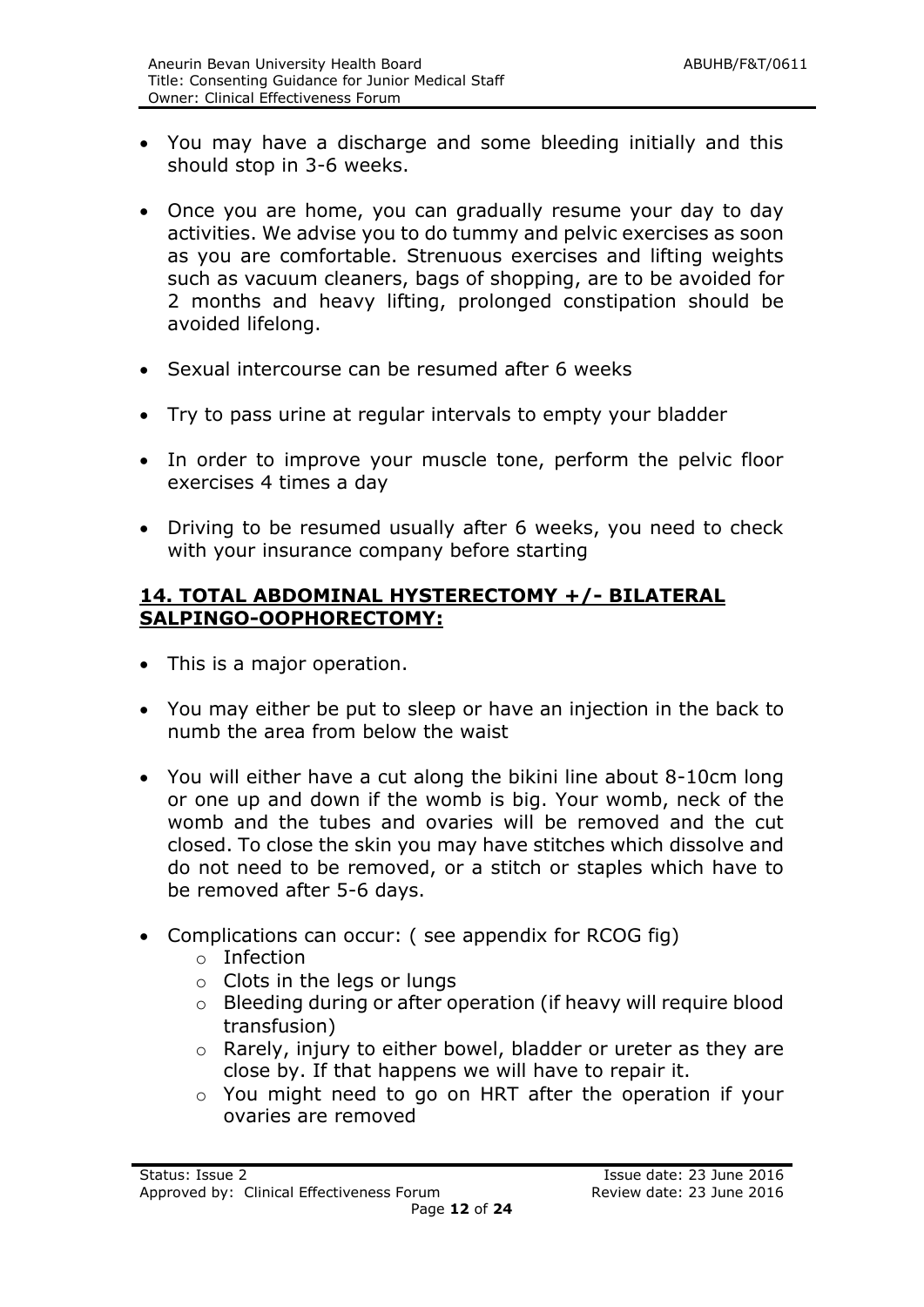- You may have a discharge and some bleeding initially and this should stop in 3-6 weeks.
- Once you are home, you can gradually resume your day to day activities. We advise you to do tummy and pelvic exercises as soon as you are comfortable. Strenuous exercises and lifting weights such as vacuum cleaners, bags of shopping, are to be avoided for 2 months and heavy lifting, prolonged constipation should be avoided lifelong.
- Sexual intercourse can be resumed after 6 weeks
- Try to pass urine at regular intervals to empty your bladder
- In order to improve your muscle tone, perform the pelvic floor exercises 4 times a day
- Driving to be resumed usually after 6 weeks, you need to check with your insurance company before starting

#### **14. TOTAL ABDOMINAL HYSTERECTOMY +/- BILATERAL SALPINGO-OOPHORECTOMY:**

- This is a major operation.
- You may either be put to sleep or have an injection in the back to numb the area from below the waist
- You will either have a cut along the bikini line about 8-10cm long or one up and down if the womb is big. Your womb, neck of the womb and the tubes and ovaries will be removed and the cut closed. To close the skin you may have stitches which dissolve and do not need to be removed, or a stitch or staples which have to be removed after 5-6 days.
- Complications can occur: ( see appendix for RCOG fig)
	- o Infection
	- o Clots in the legs or lungs
	- o Bleeding during or after operation (if heavy will require blood transfusion)
	- o Rarely, injury to either bowel, bladder or ureter as they are close by. If that happens we will have to repair it.
	- o You might need to go on HRT after the operation if your ovaries are removed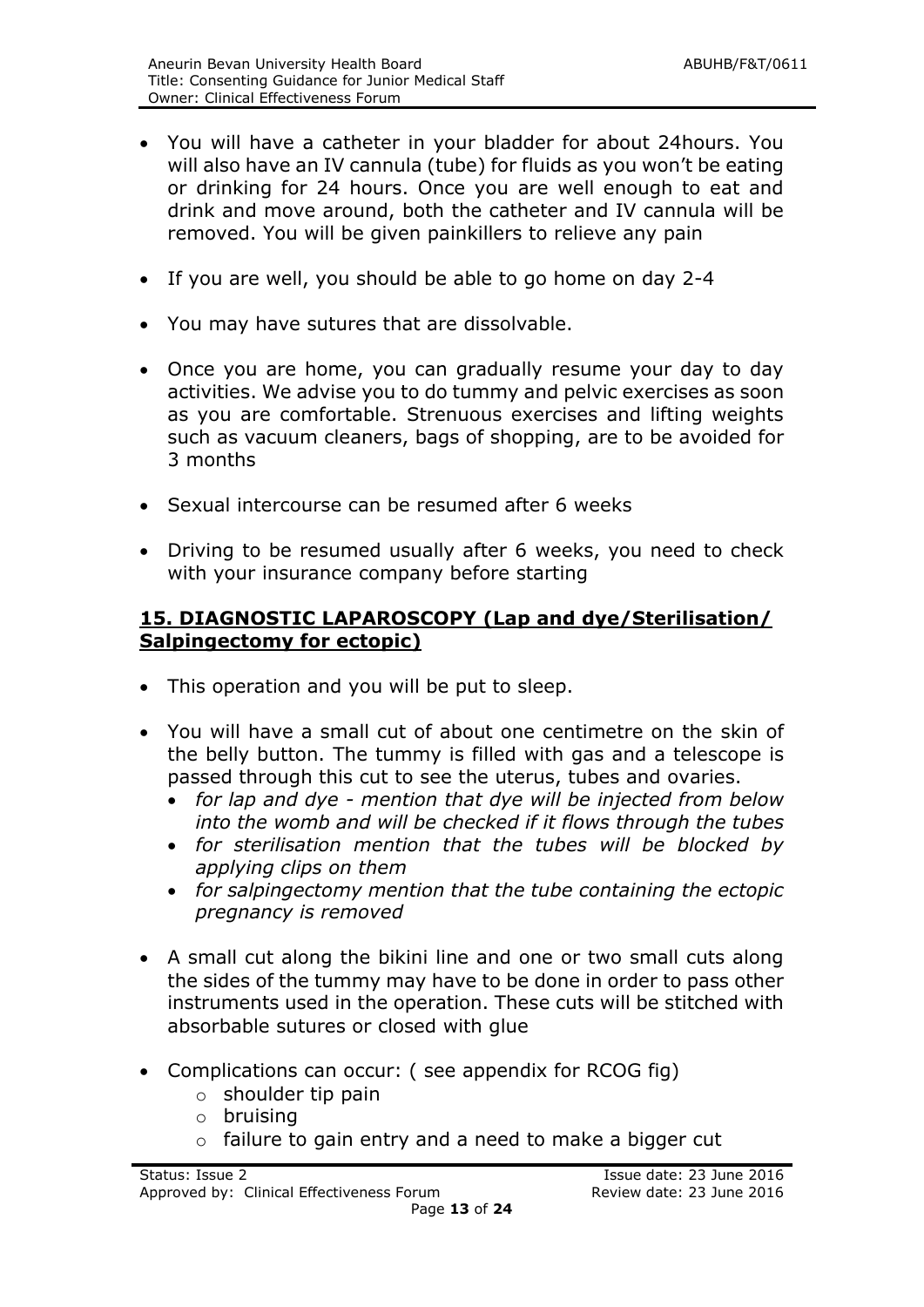- You will have a catheter in your bladder for about 24hours. You will also have an IV cannula (tube) for fluids as you won't be eating or drinking for 24 hours. Once you are well enough to eat and drink and move around, both the catheter and IV cannula will be removed. You will be given painkillers to relieve any pain
- If you are well, you should be able to go home on day 2-4
- You may have sutures that are dissolvable.
- Once you are home, you can gradually resume your day to day activities. We advise you to do tummy and pelvic exercises as soon as you are comfortable. Strenuous exercises and lifting weights such as vacuum cleaners, bags of shopping, are to be avoided for 3 months
- Sexual intercourse can be resumed after 6 weeks
- Driving to be resumed usually after 6 weeks, you need to check with your insurance company before starting

#### **15. DIAGNOSTIC LAPAROSCOPY (Lap and dye/Sterilisation/ Salpingectomy for ectopic)**

- This operation and you will be put to sleep.
- You will have a small cut of about one centimetre on the skin of the belly button. The tummy is filled with gas and a telescope is passed through this cut to see the uterus, tubes and ovaries.
	- *for lap and dye - mention that dye will be injected from below into the womb and will be checked if it flows through the tubes*
	- *for sterilisation mention that the tubes will be blocked by applying clips on them*
	- *for salpingectomy mention that the tube containing the ectopic pregnancy is removed*
- A small cut along the bikini line and one or two small cuts along the sides of the tummy may have to be done in order to pass other instruments used in the operation. These cuts will be stitched with absorbable sutures or closed with glue
- Complications can occur: (see appendix for RCOG fig)
	- o shoulder tip pain
	- o bruising
	- o failure to gain entry and a need to make a bigger cut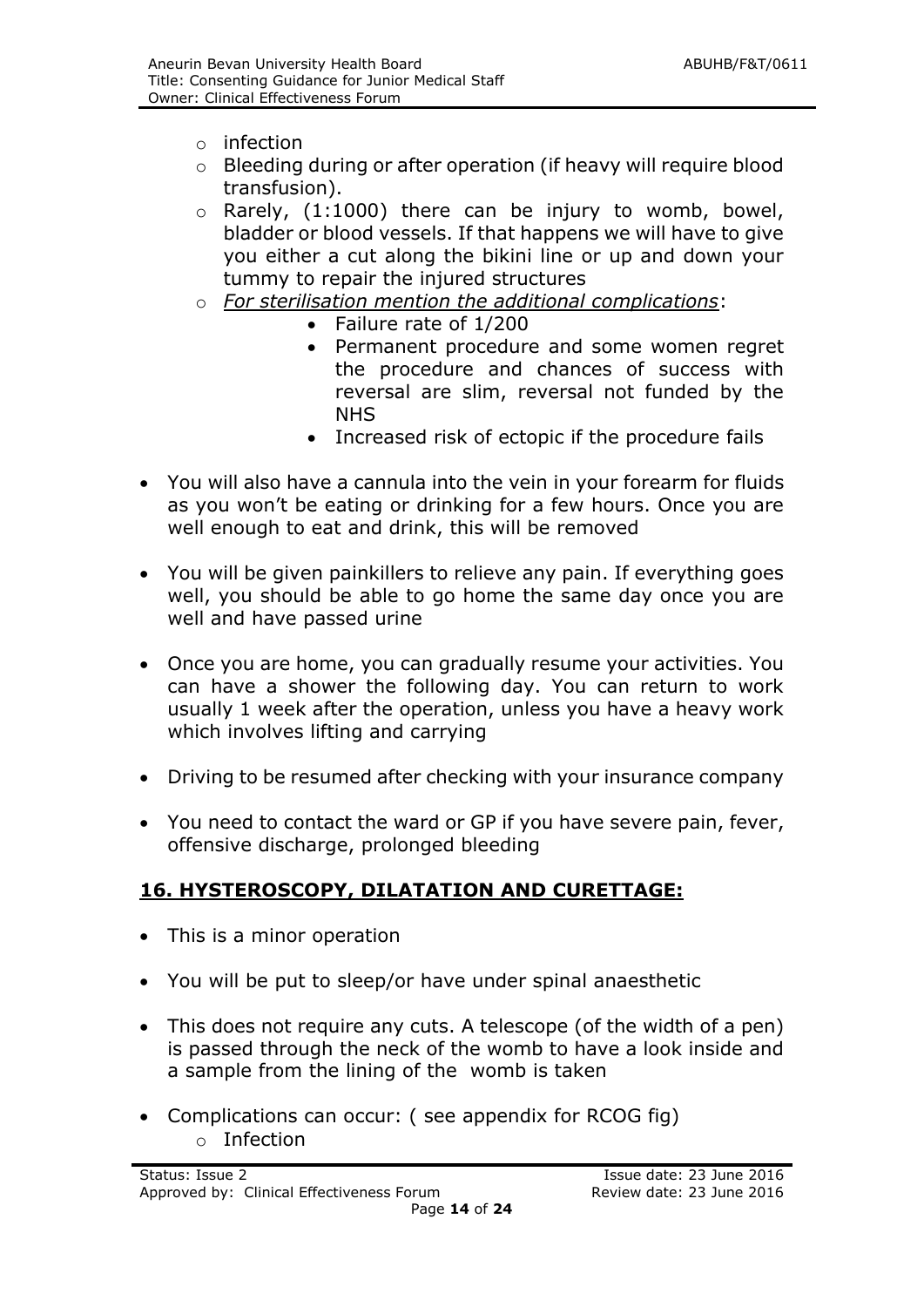- $\circ$  infection
- o Bleeding during or after operation (if heavy will require blood transfusion).
- $\circ$  Rarely, (1:1000) there can be injury to womb, bowel, bladder or blood vessels. If that happens we will have to give you either a cut along the bikini line or up and down your tummy to repair the injured structures
- o *For sterilisation mention the additional complications*:
	- Failure rate of 1/200
	- Permanent procedure and some women regret the procedure and chances of success with reversal are slim, reversal not funded by the NHS
	- Increased risk of ectopic if the procedure fails
- You will also have a cannula into the vein in your forearm for fluids as you won't be eating or drinking for a few hours. Once you are well enough to eat and drink, this will be removed
- You will be given painkillers to relieve any pain. If everything goes well, you should be able to go home the same day once you are well and have passed urine
- Once you are home, you can gradually resume your activities. You can have a shower the following day. You can return to work usually 1 week after the operation, unless you have a heavy work which involves lifting and carrying
- Driving to be resumed after checking with your insurance company
- You need to contact the ward or GP if you have severe pain, fever, offensive discharge, prolonged bleeding

## **16. HYSTEROSCOPY, DILATATION AND CURETTAGE:**

- This is a minor operation
- You will be put to sleep/or have under spinal anaesthetic
- This does not require any cuts. A telescope (of the width of a pen) is passed through the neck of the womb to have a look inside and a sample from the lining of the womb is taken
- Complications can occur: ( see appendix for RCOG fig) o Infection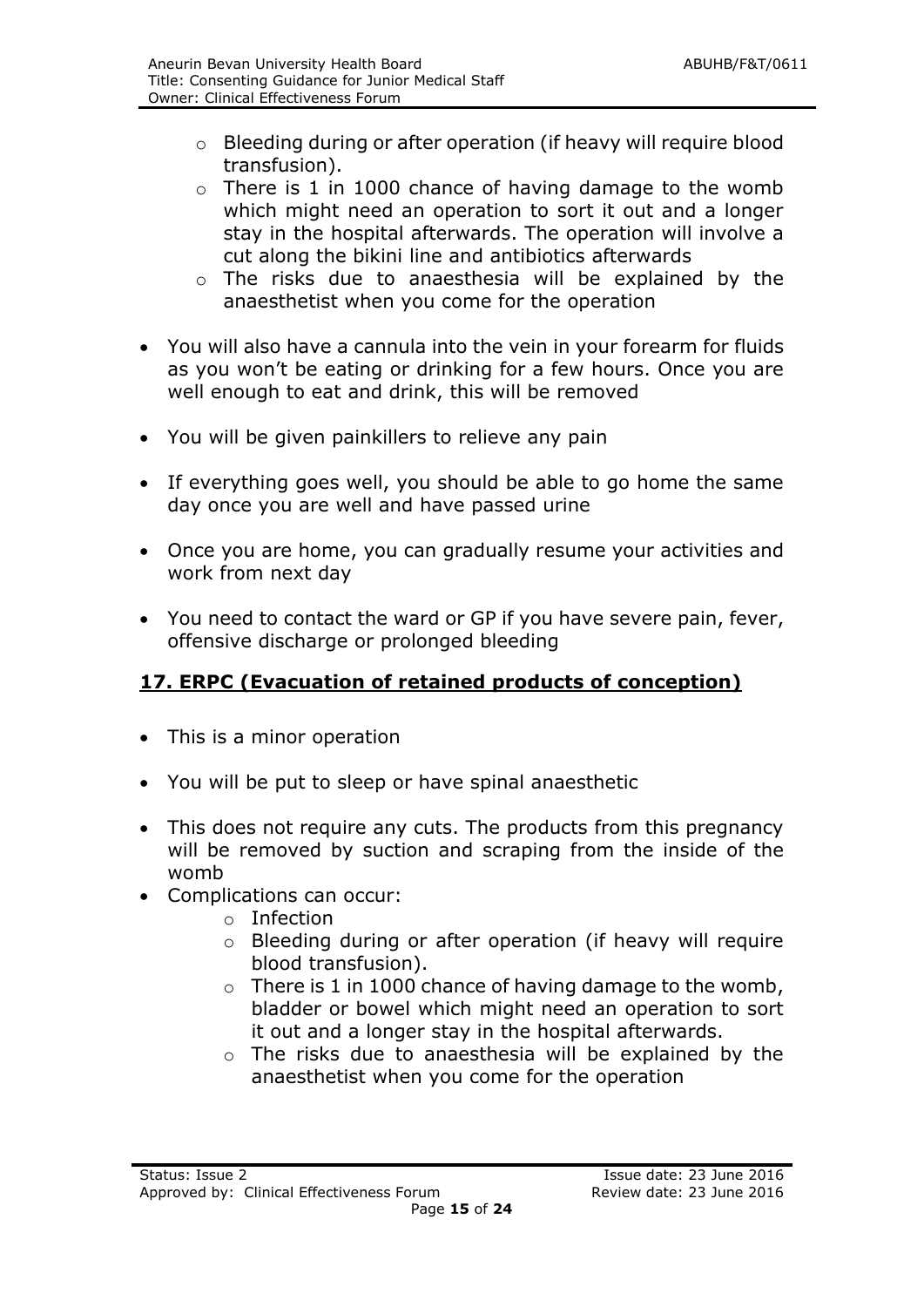- o Bleeding during or after operation (if heavy will require blood transfusion).
- $\circ$  There is 1 in 1000 chance of having damage to the womb which might need an operation to sort it out and a longer stay in the hospital afterwards. The operation will involve a cut along the bikini line and antibiotics afterwards
- o The risks due to anaesthesia will be explained by the anaesthetist when you come for the operation
- You will also have a cannula into the vein in your forearm for fluids as you won't be eating or drinking for a few hours. Once you are well enough to eat and drink, this will be removed
- You will be given painkillers to relieve any pain
- If everything goes well, you should be able to go home the same day once you are well and have passed urine
- Once you are home, you can gradually resume your activities and work from next day
- You need to contact the ward or GP if you have severe pain, fever, offensive discharge or prolonged bleeding

## **17. ERPC (Evacuation of retained products of conception)**

- This is a minor operation
- You will be put to sleep or have spinal anaesthetic
- This does not require any cuts. The products from this pregnancy will be removed by suction and scraping from the inside of the womb
- Complications can occur:
	- o Infection
	- o Bleeding during or after operation (if heavy will require blood transfusion).
	- $\circ$  There is 1 in 1000 chance of having damage to the womb, bladder or bowel which might need an operation to sort it out and a longer stay in the hospital afterwards.
	- o The risks due to anaesthesia will be explained by the anaesthetist when you come for the operation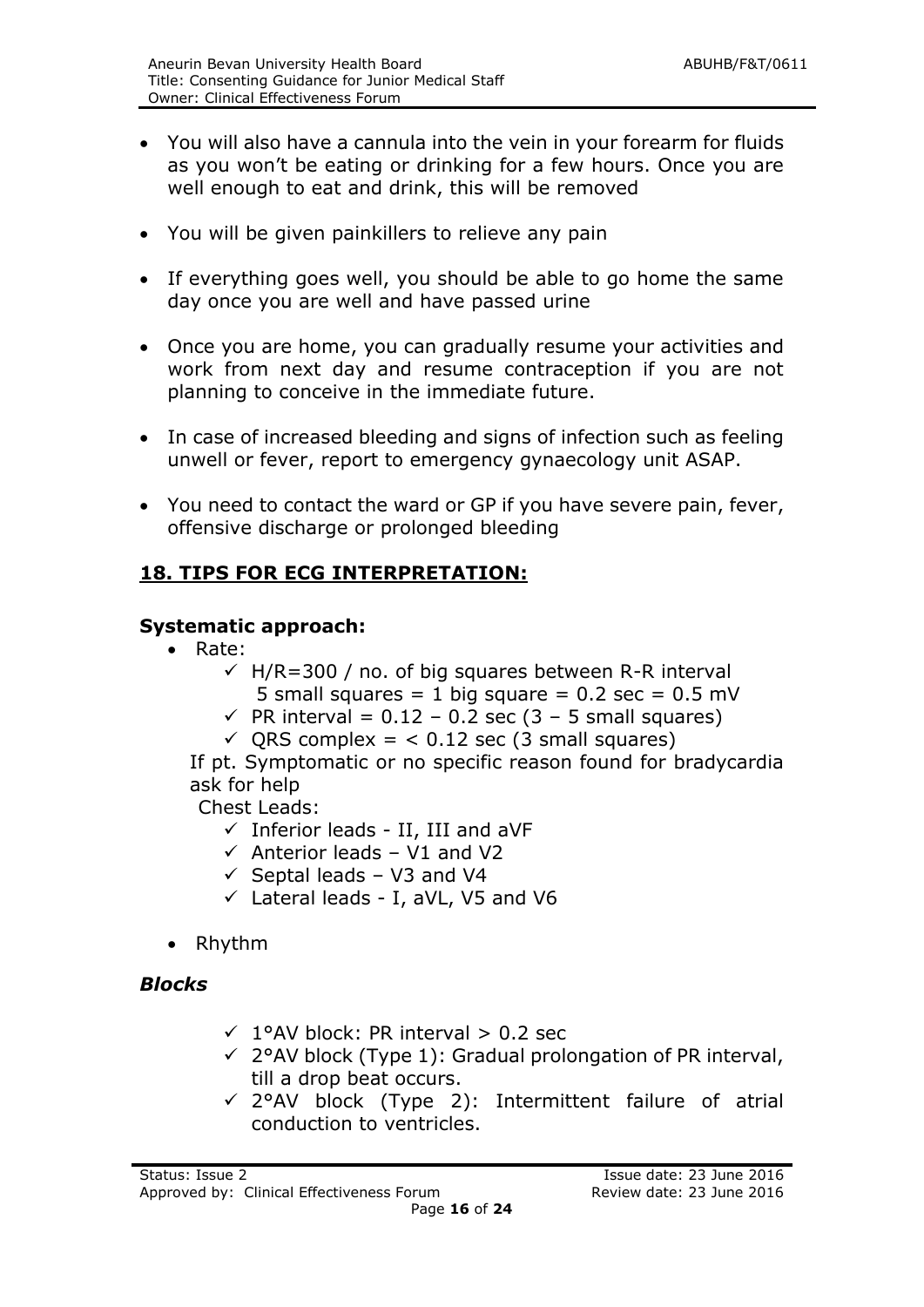- You will also have a cannula into the vein in your forearm for fluids as you won't be eating or drinking for a few hours. Once you are well enough to eat and drink, this will be removed
- You will be given painkillers to relieve any pain
- If everything goes well, you should be able to go home the same day once you are well and have passed urine
- Once you are home, you can gradually resume your activities and work from next day and resume contraception if you are not planning to conceive in the immediate future.
- In case of increased bleeding and signs of infection such as feeling unwell or fever, report to emergency gynaecology unit ASAP.
- You need to contact the ward or GP if you have severe pain, fever, offensive discharge or prolonged bleeding

#### **18. TIPS FOR ECG INTERPRETATION:**

#### **Systematic approach:**

- Rate:
	- $\sqrt{H/R}$ =300 / no. of big squares between R-R interval
		- 5 small squares = 1 big square =  $0.2$  sec =  $0.5$  mV
	- $\sqrt{P}$  PR interval = 0.12 0.2 sec (3 5 small squares)
	- $\checkmark$  ORS complex = < 0.12 sec (3 small squares)

If pt. Symptomatic or no specific reason found for bradycardia ask for help

Chest Leads:

- $\checkmark$  Inferior leads II, III and aVF
- $\checkmark$  Anterior leads V1 and V2
- $\checkmark$  Septal leads V3 and V4
- $\checkmark$  Lateral leads I, aVL, V5 and V6
- Rhythm

#### *Blocks*

- $\sqrt{1}$ °AV block: PR interval > 0.2 sec
- $\checkmark$  2°AV block (Type 1): Gradual prolongation of PR interval, till a drop beat occurs.
- $\checkmark$  2°AV block (Type 2): Intermittent failure of atrial conduction to ventricles.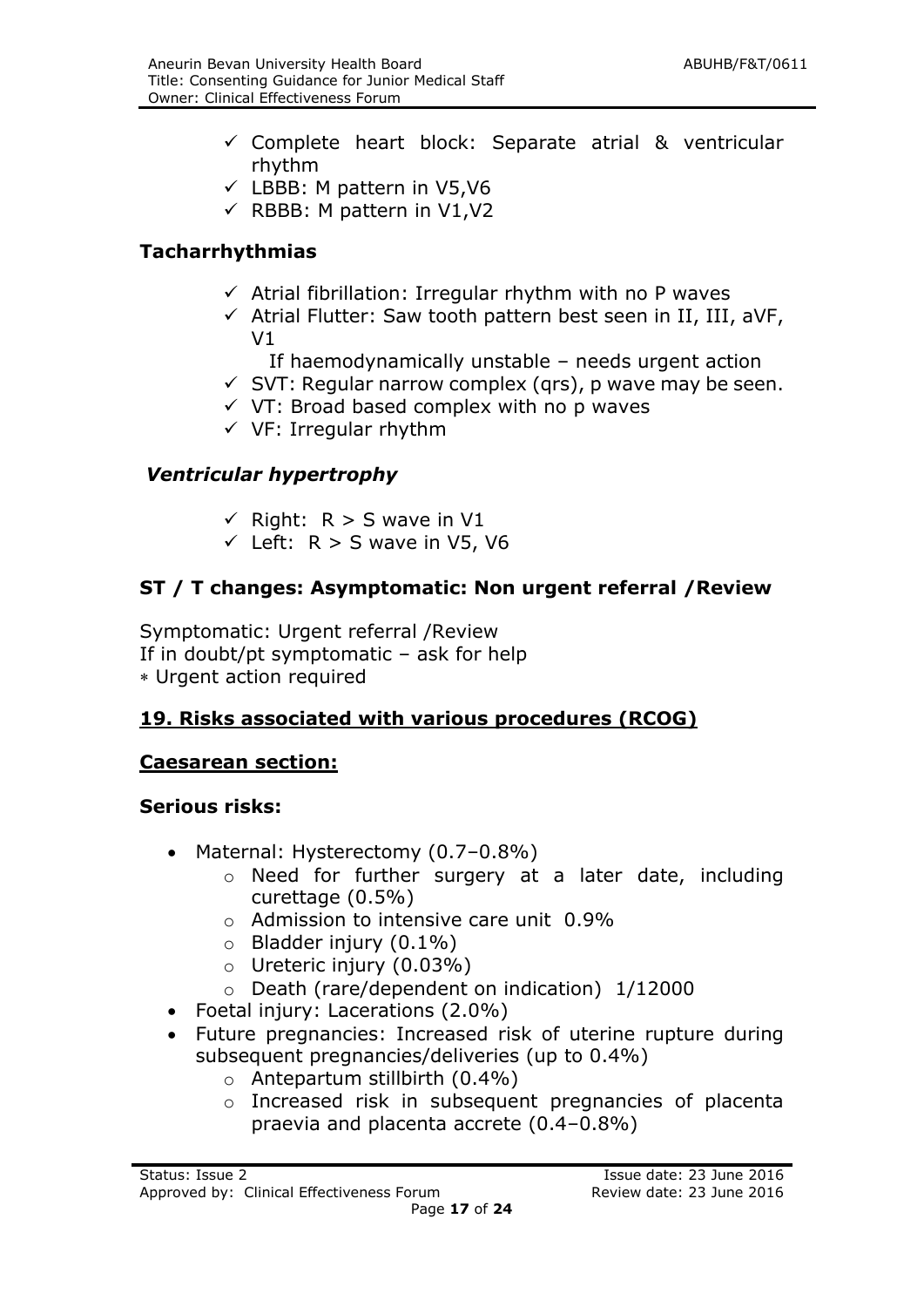- $\checkmark$  Complete heart block: Separate atrial & ventricular rhythm
- $\checkmark$  LBBB: M pattern in V5, V6
- $\checkmark$  RBBB: M pattern in V1, V2

#### **Tacharrhythmias**

- $\checkmark$  Atrial fibrillation: Irregular rhythm with no P waves
- $\checkmark$  Atrial Flutter: Saw tooth pattern best seen in II, III, aVF, V1
	- If haemodynamically unstable needs urgent action
- $\checkmark$  SVT: Regular narrow complex (qrs), p wave may be seen.
- $\checkmark$  VT: Broad based complex with no p waves
- $\checkmark$  VF: Irregular rhythm

#### *Ventricular hypertrophy*

- $\checkmark$  Right: R > S wave in V1
- $\checkmark$  Left: R > S wave in V5, V6

## **ST / T changes: Asymptomatic: Non urgent referral /Review**

Symptomatic: Urgent referral /Review If in doubt/pt symptomatic – ask for help Urgent action required

#### **19. Risks associated with various procedures (RCOG)**

#### **Caesarean section:**

#### **Serious risks:**

- Maternal: Hysterectomy (0.7–0.8%)
	- o Need for further surgery at a later date, including curettage (0.5%)
	- o Admission to intensive care unit 0.9%
	- $\circ$  Bladder injury (0.1%)
	- $\circ$  Ureteric injury (0.03%)
	- o Death (rare/dependent on indication) 1/12000
- Foetal injury: Lacerations (2.0%)
- Future pregnancies: Increased risk of uterine rupture during subsequent pregnancies/deliveries (up to 0.4%)
	- o Antepartum stillbirth (0.4%)
	- o Increased risk in subsequent pregnancies of placenta praevia and placenta accrete (0.4–0.8%)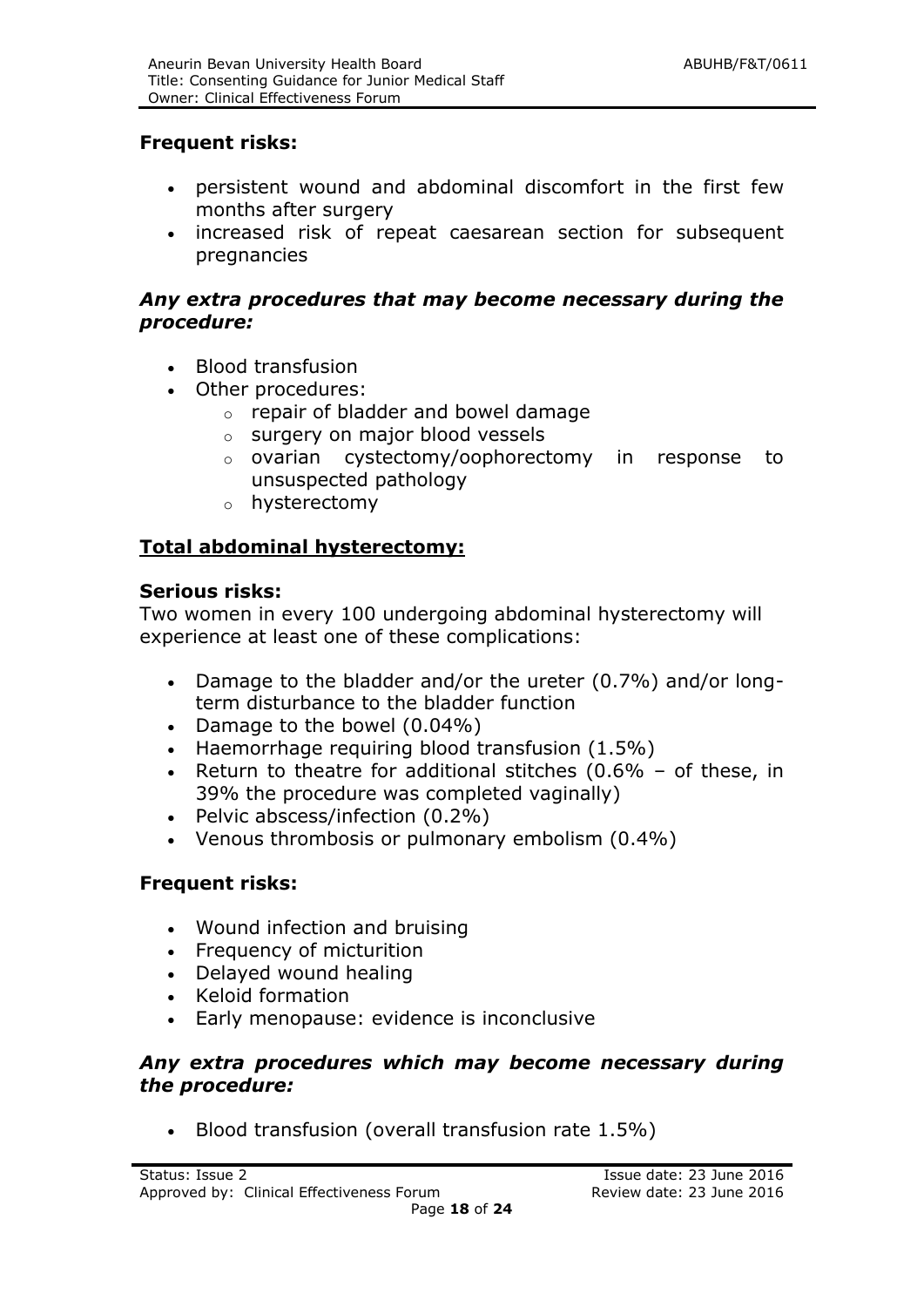#### **Frequent risks:**

- persistent wound and abdominal discomfort in the first few months after surgery
- increased risk of repeat caesarean section for subsequent pregnancies

#### *Any extra procedures that may become necessary during the procedure:*

- Blood transfusion
- Other procedures:
	- o repair of bladder and bowel damage
	- o surgery on major blood vessels
	- o ovarian cystectomy/oophorectomy in response to unsuspected pathology
	- o hysterectomy

#### **Total abdominal hysterectomy:**

#### **Serious risks:**

Two women in every 100 undergoing abdominal hysterectomy will experience at least one of these complications:

- Damage to the bladder and/or the ureter (0.7%) and/or longterm disturbance to the bladder function
- Damage to the bowel (0.04%)
- Haemorrhage requiring blood transfusion (1.5%)
- Exection to theatre for additional stitches  $(0.6\% of these, in)$ 39% the procedure was completed vaginally)
- Pelvic abscess/infection (0.2%)
- Venous thrombosis or pulmonary embolism (0.4%)

#### **Frequent risks:**

- Wound infection and bruising
- Frequency of micturition
- Delayed wound healing
- Keloid formation
- Early menopause: evidence is inconclusive

#### *Any extra procedures which may become necessary during the procedure:*

Blood transfusion (overall transfusion rate 1.5%)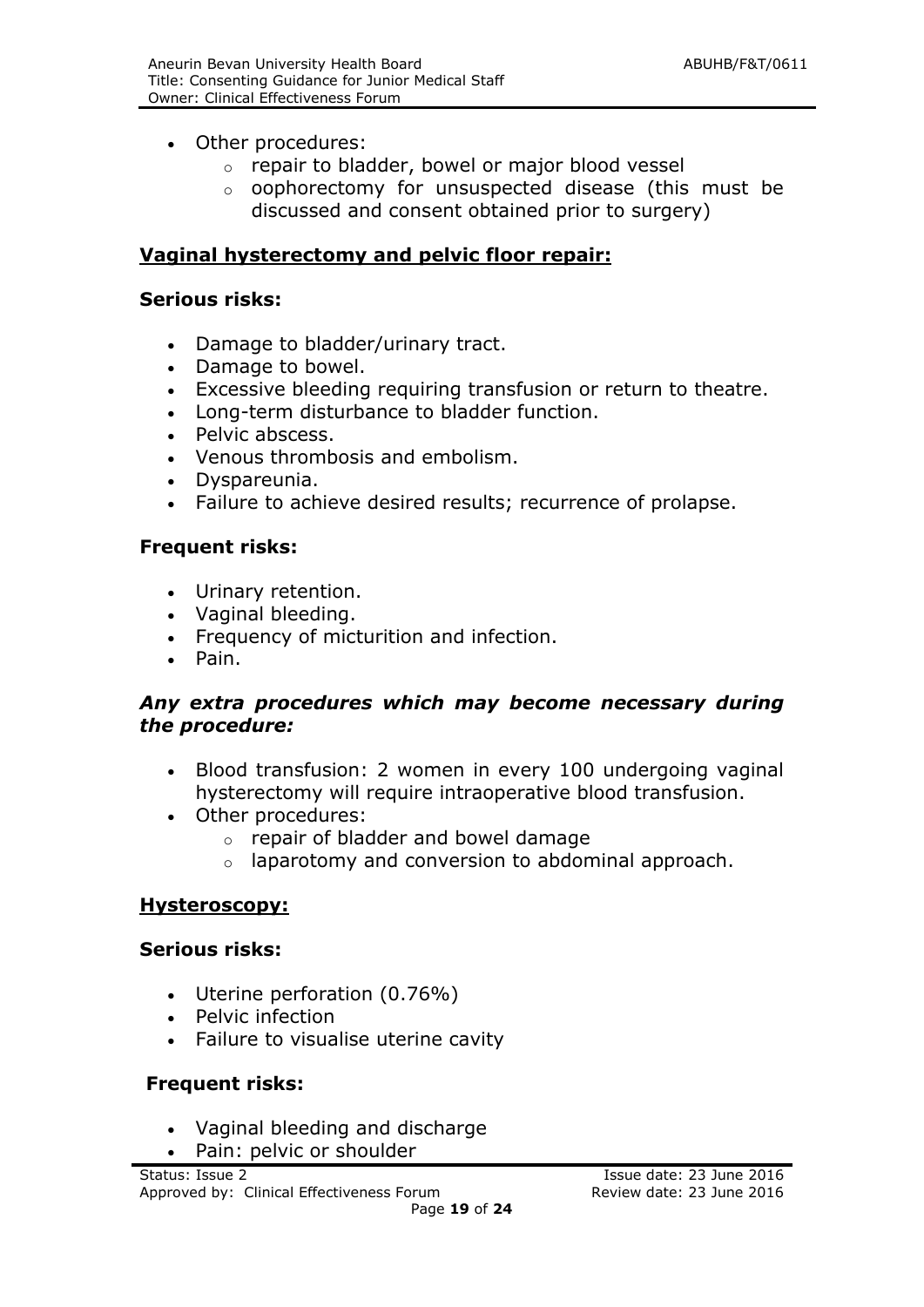- Other procedures:
	- o repair to bladder, bowel or major blood vessel
	- o oophorectomy for unsuspected disease (this must be discussed and consent obtained prior to surgery)

#### **Vaginal hysterectomy and pelvic floor repair:**

#### **Serious risks:**

- Damage to bladder/urinary tract.
- Damage to bowel.
- Excessive bleeding requiring transfusion or return to theatre.
- Long-term disturbance to bladder function.
- Pelvic abscess.
- Venous thrombosis and embolism.
- Dyspareunia.
- Failure to achieve desired results; recurrence of prolapse.

#### **Frequent risks:**

- Urinary retention.
- Vaginal bleeding.
- Frequency of micturition and infection.
- Pain.

#### *Any extra procedures which may become necessary during the procedure:*

- Blood transfusion: 2 women in every 100 undergoing vaginal hysterectomy will require intraoperative blood transfusion.
- Other procedures:
	- o repair of bladder and bowel damage
	- o laparotomy and conversion to abdominal approach.

#### **Hysteroscopy:**

#### **Serious risks:**

- Uterine perforation (0.76%)
- Pelvic infection
- Failure to visualise uterine cavity

#### **Frequent risks:**

- Vaginal bleeding and discharge
- Pain: pelvic or shoulder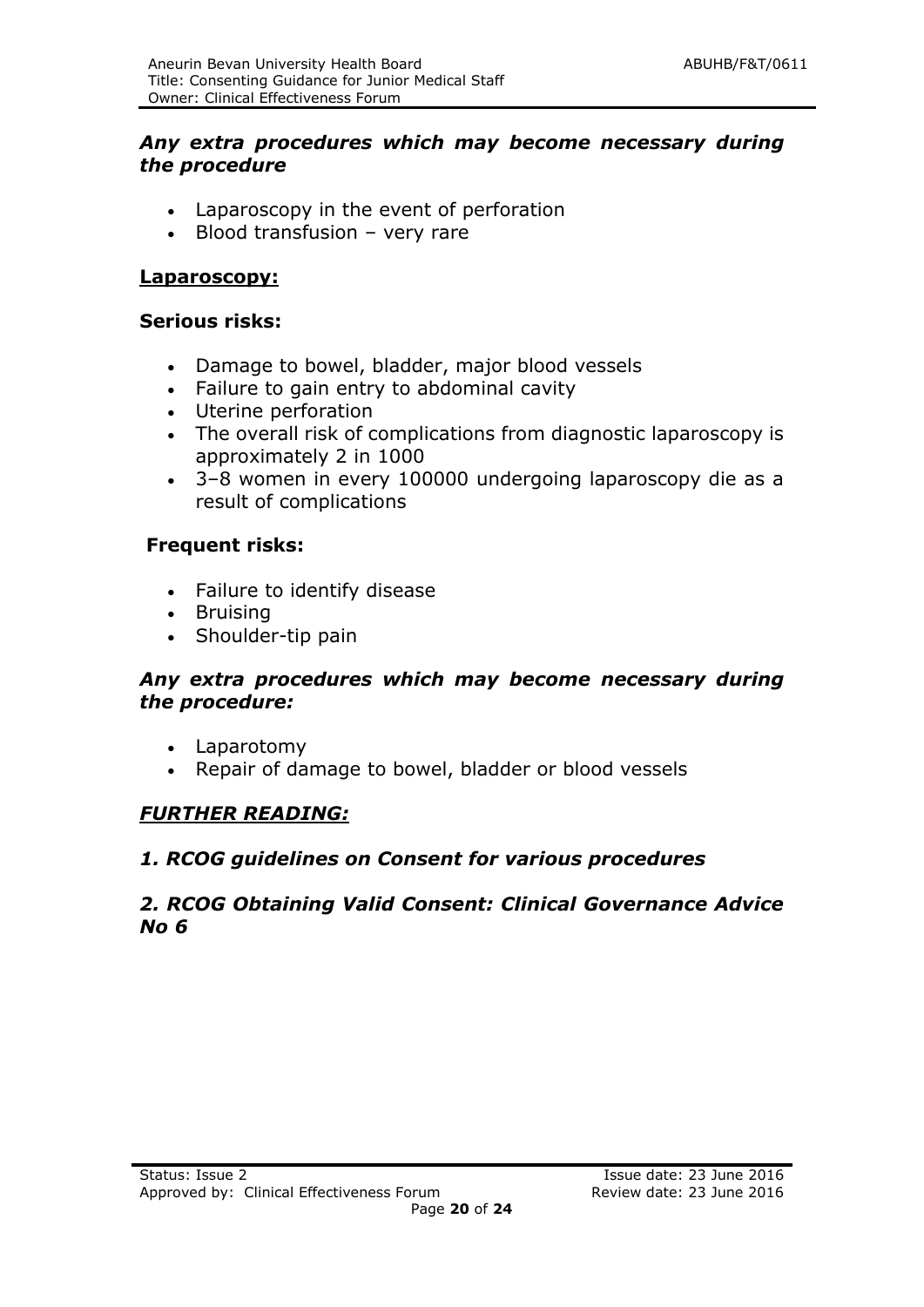#### *Any extra procedures which may become necessary during the procedure*

- Laparoscopy in the event of perforation
- Blood transfusion very rare

#### **Laparoscopy:**

#### **Serious risks:**

- Damage to bowel, bladder, major blood vessels
- Failure to gain entry to abdominal cavity
- Uterine perforation
- The overall risk of complications from diagnostic laparoscopy is approximately 2 in 1000
- 3–8 women in every 100000 undergoing laparoscopy die as a result of complications

#### **Frequent risks:**

- Failure to identify disease
- Bruising
- Shoulder-tip pain

#### *Any extra procedures which may become necessary during the procedure:*

- Laparotomy
- Repair of damage to bowel, bladder or blood vessels

#### *FURTHER READING:*

#### *1. RCOG guidelines on Consent for various procedures*

#### *2. RCOG Obtaining Valid Consent: Clinical Governance Advice No 6*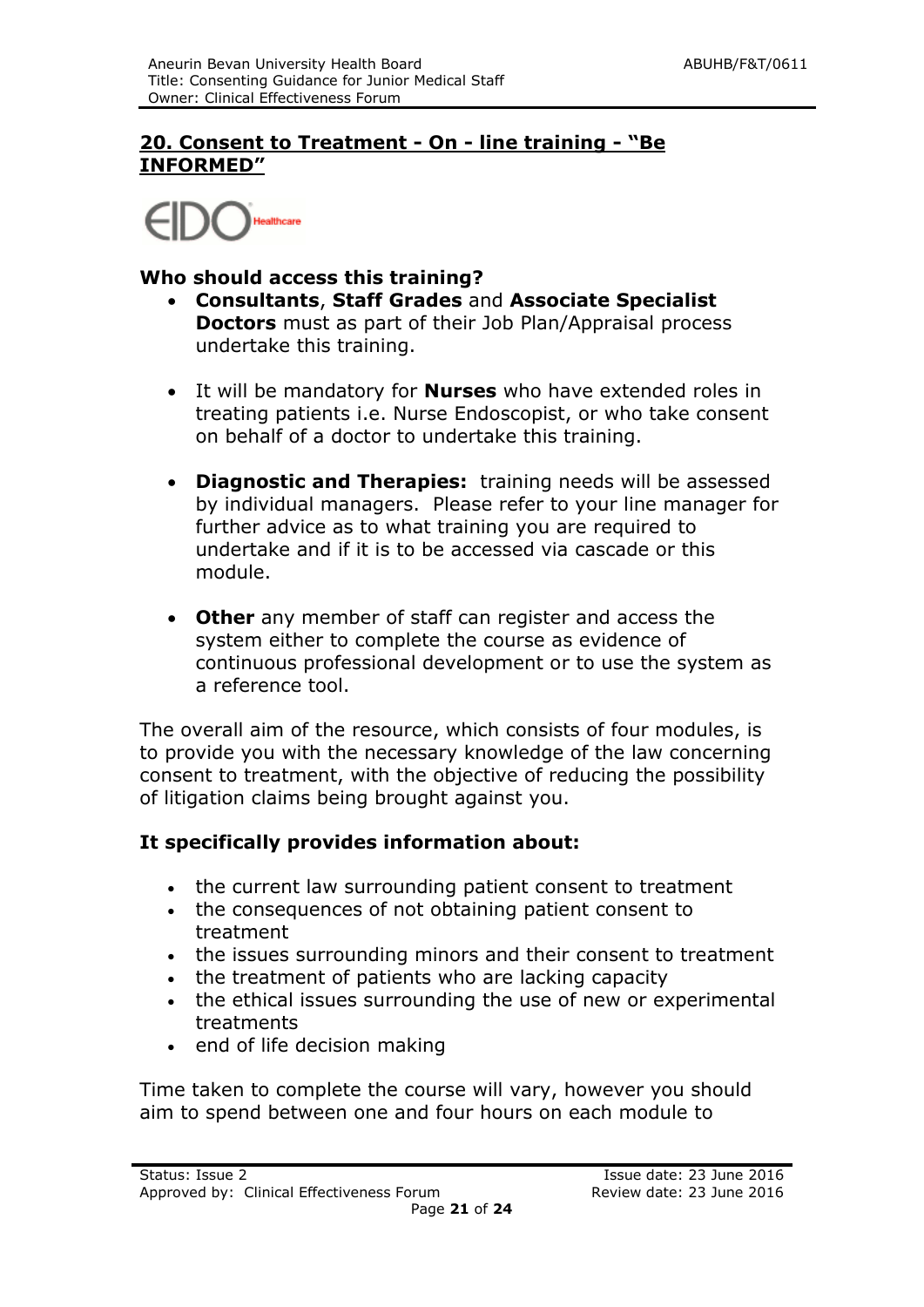#### **20. Consent to Treatment - On - line training - "Be INFORMED"**

Healthcare

#### **Who should access this training?**

- **Consultants**, **Staff Grades** and **Associate Specialist Doctors** must as part of their Job Plan/Appraisal process undertake this training.
- It will be mandatory for **Nurses** who have extended roles in treating patients i.e. Nurse Endoscopist, or who take consent on behalf of a doctor to undertake this training.
- **Diagnostic and Therapies:** training needs will be assessed by individual managers. Please refer to your line manager for further advice as to what training you are required to undertake and if it is to be accessed via cascade or this module.
- **Other** any member of staff can register and access the system either to complete the course as evidence of continuous professional development or to use the system as a reference tool.

The overall aim of the resource, which consists of four modules, is to provide you with the necessary knowledge of the law concerning consent to treatment, with the objective of reducing the possibility of litigation claims being brought against you.

#### **It specifically provides information about:**

- the current law surrounding patient consent to treatment
- the consequences of not obtaining patient consent to treatment
- the issues surrounding minors and their consent to treatment
- the treatment of patients who are lacking capacity
- the ethical issues surrounding the use of new or experimental treatments
- end of life decision making

Time taken to complete the course will vary, however you should aim to spend between one and four hours on each module to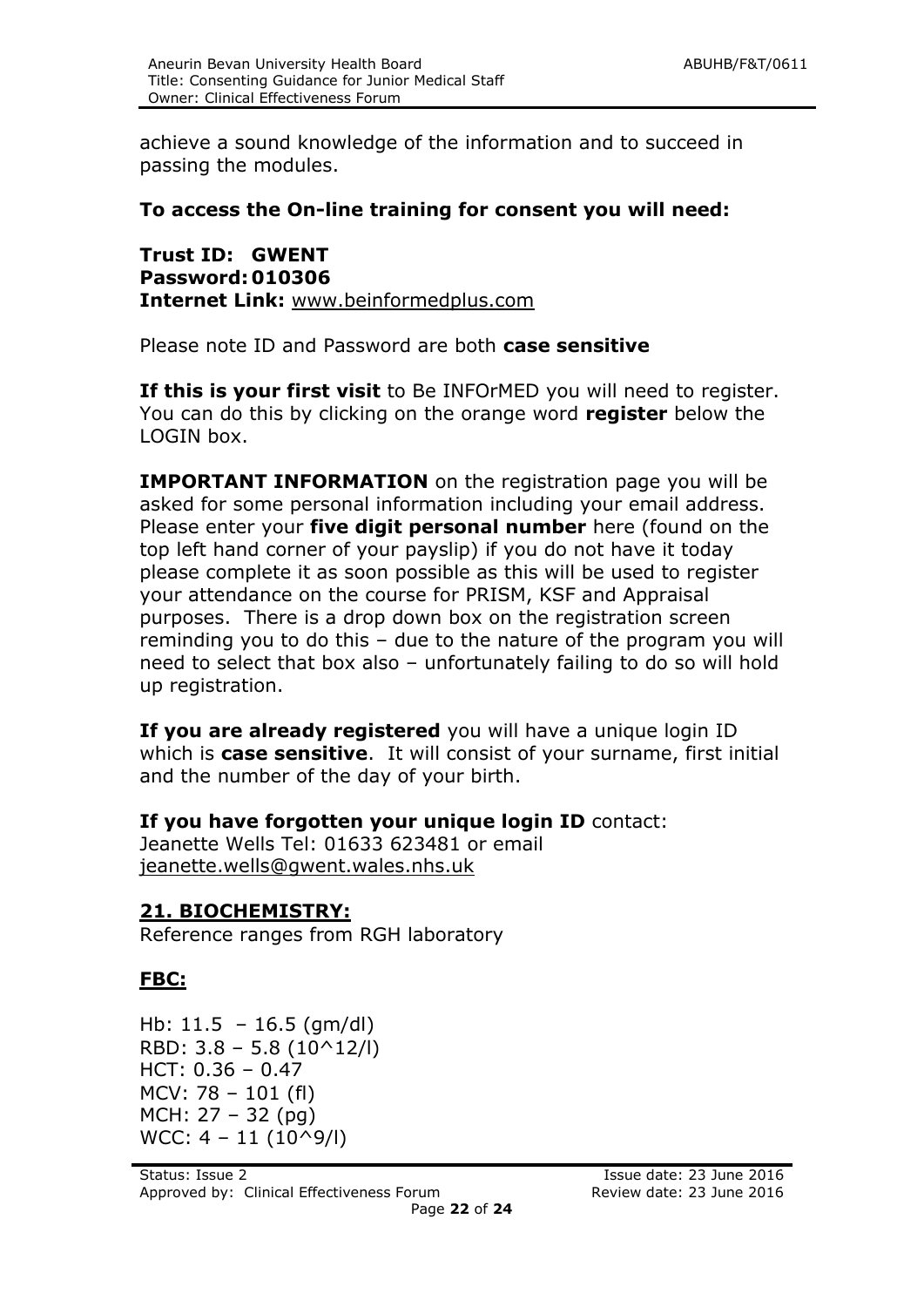achieve a sound knowledge of the information and to succeed in passing the modules.

#### **To access the On-line training for consent you will need:**

**Trust ID: GWENT Password: 010306 Internet Link:** [www.beinformedplus.com](http://www.beinformedplus.com/)

Please note ID and Password are both **case sensitive**

**If this is your first visit** to Be INFOrMED you will need to register. You can do this by clicking on the orange word **register** below the LOGIN box.

**IMPORTANT INFORMATION** on the registration page you will be asked for some personal information including your email address. Please enter your **five digit personal number** here (found on the top left hand corner of your payslip) if you do not have it today please complete it as soon possible as this will be used to register your attendance on the course for PRISM, KSF and Appraisal purposes. There is a drop down box on the registration screen reminding you to do this – due to the nature of the program you will need to select that box also – unfortunately failing to do so will hold up registration.

**If you are already registered** you will have a unique login ID which is **case sensitive**. It will consist of your surname, first initial and the number of the day of your birth.

**If you have forgotten your unique login ID** contact:

Jeanette Wells Tel: 01633 623481 or email [jeanette.wells@gwent.wales.nhs.uk](mailto:jeanette.wells@gwent.wales.nhs.uk)

#### **21. BIOCHEMISTRY:**

Reference ranges from RGH laboratory

#### **FBC:**

Hb: 11.5 – 16.5 (gm/dl) RBD:  $3.8 - 5.8$  (10^12/l) HCT: 0.36 – 0.47 MCV: 78 – 101 (fl) MCH: 27 – 32 (pg)  $WCC: 4 - 11 (10^9/1)$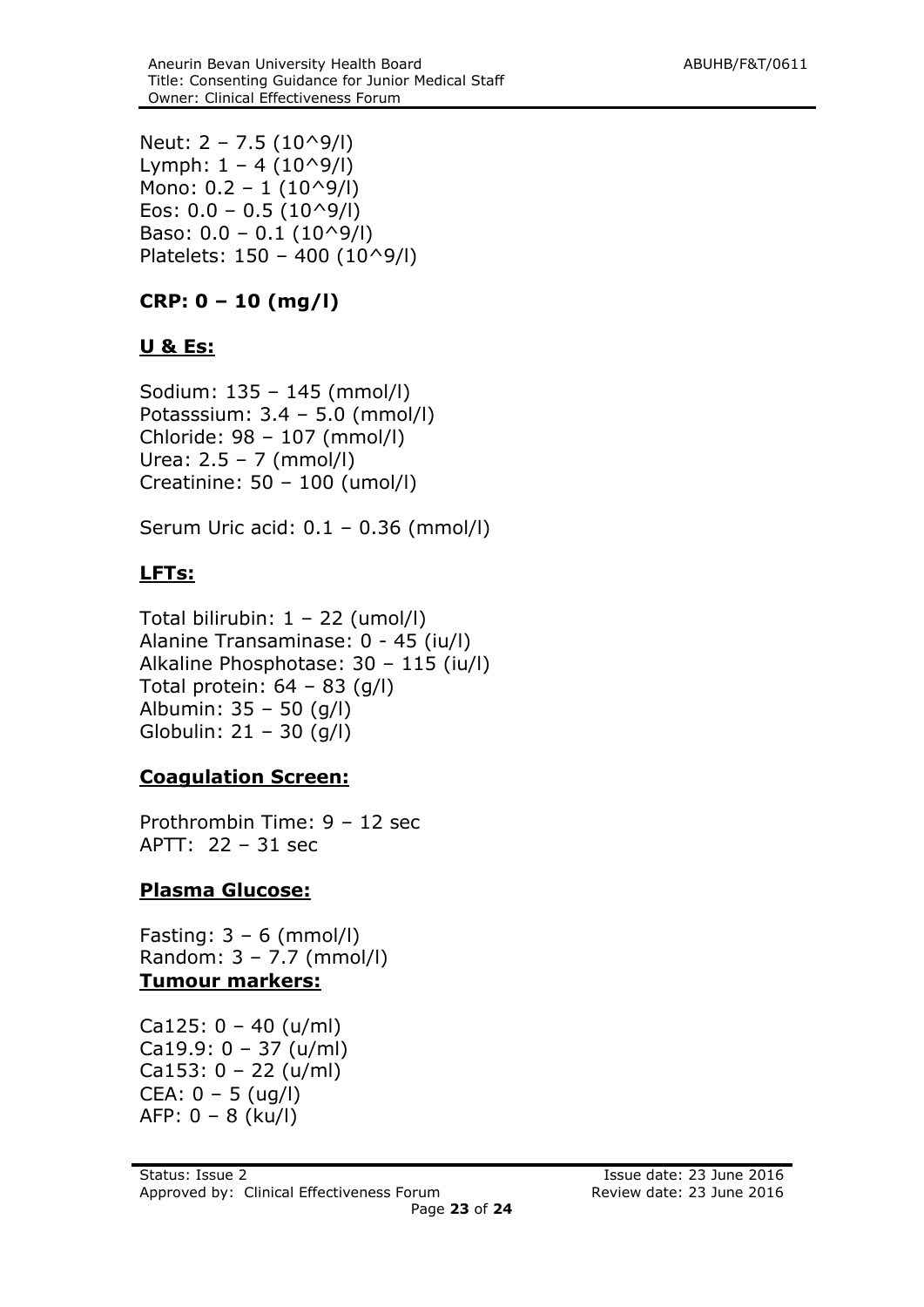Neut: 2 – 7.5 (10^9/l) Lymph:  $1 - 4 (10^9/$ Mono:  $0.2 - 1$  (10^9/l) Eos:  $0.0 - 0.5$  (10^9/l) Baso:  $0.0 - 0.1$  ( $10^9$ /l) Platelets: 150 – 400 (10^9/l)

## **CRP: 0 – 10 (mg/l)**

#### **U & Es:**

Sodium: 135 – 145 (mmol/l) Potasssium: 3.4 – 5.0 (mmol/l) Chloride: 98 – 107 (mmol/l) Urea: 2.5 – 7 (mmol/l) Creatinine: 50 – 100 (umol/l)

Serum Uric acid: 0.1 – 0.36 (mmol/l)

## **LFTs:**

Total bilirubin: 1 – 22 (umol/l) Alanine Transaminase: 0 - 45 (iu/l) Alkaline Phosphotase: 30 – 115 (iu/l) Total protein:  $64 - 83$  (g/l) Albumin: 35 – 50 (g/l) Globulin: 21 – 30 (g/l)

#### **Coagulation Screen:**

Prothrombin Time: 9 – 12 sec APTT: 22 – 31 sec

## **Plasma Glucose:**

Fasting: 3 – 6 (mmol/l) Random: 3 – 7.7 (mmol/l) **Tumour markers:**

Ca125:  $0 - 40$  (u/ml) Ca19.9: 0 – 37 (u/ml) Ca153:  $0 - 22$  (u/ml) CEA: 0 – 5 (ug/l) AFP: 0 – 8 (ku/l)